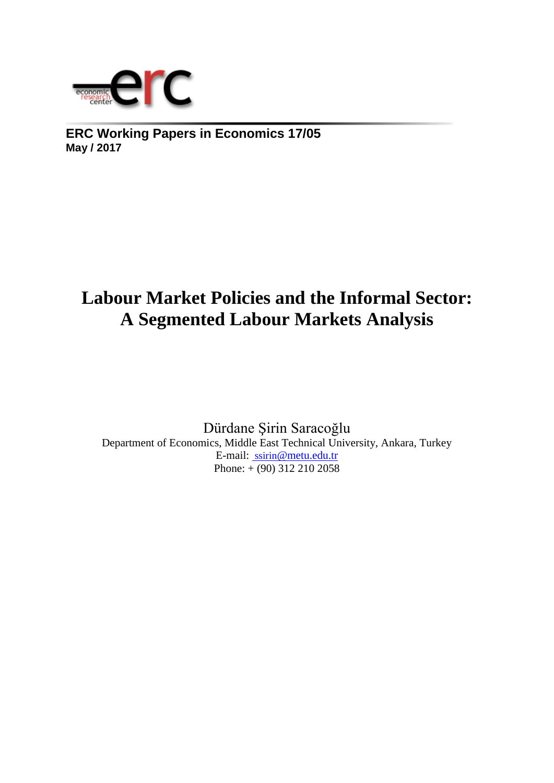

**ERC Working Papers in Economics 17/05 May / 2017**

# **Labour Market Policies and the Informal Sector: A Segmented Labour Markets Analysis**

Dürdane Şirin Saracoğlu Department of Economics, Middle East Technical University, Ankara, Turkey E-mail: ssirin[@metu.edu.tr](mailto:%20ssirin@metu.edu.tr)  Phone: + (90) 312 210 2058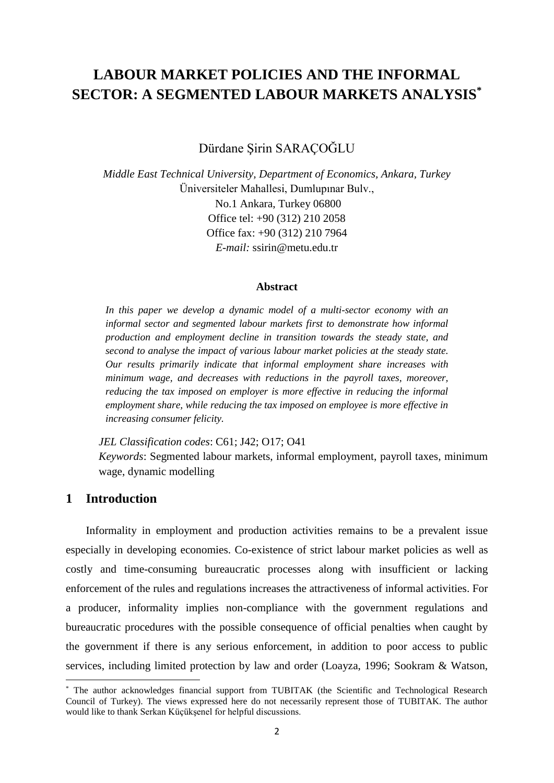## **LABOUR MARKET POLICIES AND THE INFORMAL SECTOR: A SEGMENTED LABOUR MARKETS ANALYSIS\***

Dürdane Şirin SARAÇOĞLU

*Middle East Technical University, Department of Economics, Ankara, Turkey* Üniversiteler Mahallesi, Dumlupınar Bulv., No.1 Ankara, Turkey 06800 Office tel: +90 (312) 210 2058 Office fax: +90 (312) 210 7964 *E-mail:* ssirin@metu.edu.tr

#### **Abstract**

In this paper we develop a dynamic model of a multi-sector economy with an *informal sector and segmented labour markets first to demonstrate how informal production and employment decline in transition towards the steady state, and second to analyse the impact of various labour market policies at the steady state. Our results primarily indicate that informal employment share increases with minimum wage, and decreases with reductions in the payroll taxes, moreover, reducing the tax imposed on employer is more effective in reducing the informal employment share, while reducing the tax imposed on employee is more effective in increasing consumer felicity.*

*JEL Classification codes*: C61; J42; O17; O41

*Keywords*: Segmented labour markets, informal employment, payroll taxes, minimum wage, dynamic modelling

## **1 Introduction**

1

Informality in employment and production activities remains to be a prevalent issue especially in developing economies. Co-existence of strict labour market policies as well as costly and time-consuming bureaucratic processes along with insufficient or lacking enforcement of the rules and regulations increases the attractiveness of informal activities. For a producer, informality implies non-compliance with the government regulations and bureaucratic procedures with the possible consequence of official penalties when caught by the government if there is any serious enforcement, in addition to poor access to public services, including limited protection by law and order (Loayza, 1996; Sookram & Watson,

<sup>\*</sup> The author acknowledges financial support from TUBITAK (the Scientific and Technological Research Council of Turkey). The views expressed here do not necessarily represent those of TUBITAK. The author would like to thank Serkan Küçükşenel for helpful discussions.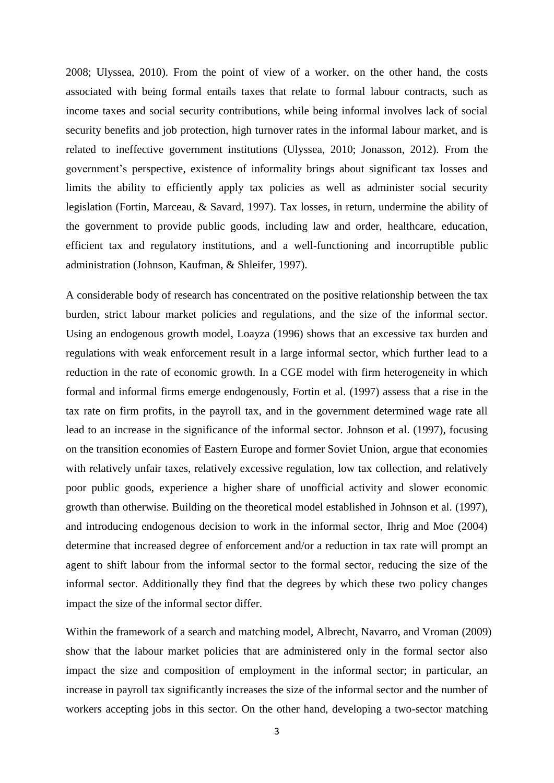2008; Ulyssea, 2010). From the point of view of a worker, on the other hand, the costs associated with being formal entails taxes that relate to formal labour contracts, such as income taxes and social security contributions, while being informal involves lack of social security benefits and job protection, high turnover rates in the informal labour market, and is related to ineffective government institutions (Ulyssea, 2010; Jonasson, 2012). From the government's perspective, existence of informality brings about significant tax losses and limits the ability to efficiently apply tax policies as well as administer social security legislation (Fortin, Marceau, & Savard, 1997). Tax losses, in return, undermine the ability of the government to provide public goods, including law and order, healthcare, education, efficient tax and regulatory institutions, and a well-functioning and incorruptible public administration (Johnson, Kaufman, & Shleifer, 1997).

A considerable body of research has concentrated on the positive relationship between the tax burden, strict labour market policies and regulations, and the size of the informal sector. Using an endogenous growth model, Loayza (1996) shows that an excessive tax burden and regulations with weak enforcement result in a large informal sector, which further lead to a reduction in the rate of economic growth. In a CGE model with firm heterogeneity in which formal and informal firms emerge endogenously, Fortin et al. (1997) assess that a rise in the tax rate on firm profits, in the payroll tax, and in the government determined wage rate all lead to an increase in the significance of the informal sector. Johnson et al. (1997), focusing on the transition economies of Eastern Europe and former Soviet Union, argue that economies with relatively unfair taxes, relatively excessive regulation, low tax collection, and relatively poor public goods, experience a higher share of unofficial activity and slower economic growth than otherwise. Building on the theoretical model established in Johnson et al. (1997), and introducing endogenous decision to work in the informal sector, Ihrig and Moe (2004) determine that increased degree of enforcement and/or a reduction in tax rate will prompt an agent to shift labour from the informal sector to the formal sector, reducing the size of the informal sector. Additionally they find that the degrees by which these two policy changes impact the size of the informal sector differ.

Within the framework of a search and matching model, Albrecht, Navarro, and Vroman (2009) show that the labour market policies that are administered only in the formal sector also impact the size and composition of employment in the informal sector; in particular, an increase in payroll tax significantly increases the size of the informal sector and the number of workers accepting jobs in this sector. On the other hand, developing a two-sector matching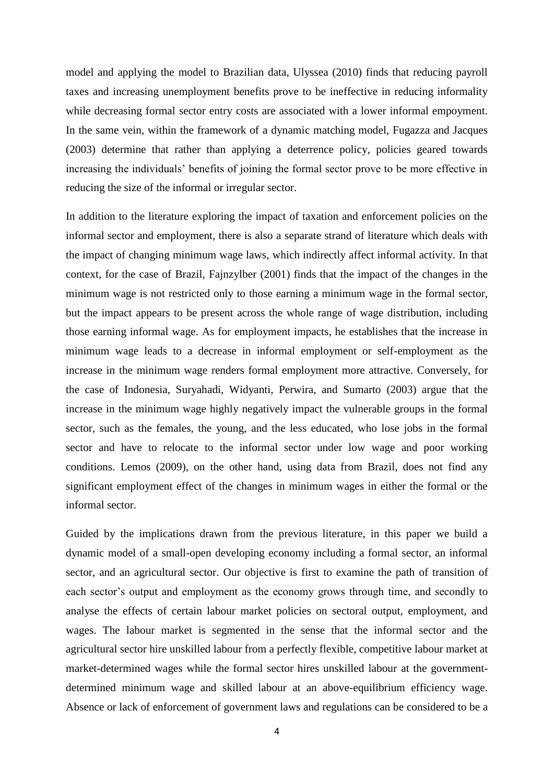model and applying the model to Brazilian data, Ulyssea (2010) finds that reducing payroll taxes and increasing unemployment benefits prove to be ineffective in reducing informality while decreasing formal sector entry costs are associated with a lower informal empoyment. In the same vein, within the framework of a dynamic matching model, Fugazza and Jacques (2003) determine that rather than applying a deterrence policy, policies geared towards increasing the individuals' benefits of joining the formal sector prove to be more effective in reducing the size of the informal or irregular sector.

In addition to the literature exploring the impact of taxation and enforcement policies on the informal sector and employment, there is also a separate strand of literature which deals with the impact of changing minimum wage laws, which indirectly affect informal activity. In that context, for the case of Brazil, Fajnzylber (2001) finds that the impact of the changes in the minimum wage is not restricted only to those earning a minimum wage in the formal sector, but the impact appears to be present across the whole range of wage distribution, including those earning informal wage. As for employment impacts, he establishes that the increase in minimum wage leads to a decrease in informal employment or self-employment as the increase in the minimum wage renders formal employment more attractive. Conversely, for the case of Indonesia, Suryahadi, Widyanti, Perwira, and Sumarto (2003) argue that the increase in the minimum wage highly negatively impact the vulnerable groups in the formal sector, such as the females, the young, and the less educated, who lose jobs in the formal sector and have to relocate to the informal sector under low wage and poor working conditions. Lemos (2009), on the other hand, using data from Brazil, does not find any significant employment effect of the changes in minimum wages in either the formal or the informal sector.

Guided by the implications drawn from the previous literature, in this paper we build a dynamic model of a small-open developing economy including a formal sector, an informal sector, and an agricultural sector. Our objective is first to examine the path of transition of each sector's output and employment as the economy grows through time, and secondly to analyse the effects of certain labour market policies on sectoral output, employment, and wages. The labour market is segmented in the sense that the informal sector and the agricultural sector hire unskilled labour from a perfectly flexible, competitive labour market at market-determined wages while the formal sector hires unskilled labour at the governmentdetermined minimum wage and skilled labour at an above-equilibrium efficiency wage. Absence or lack of enforcement of government laws and regulations can be considered to be a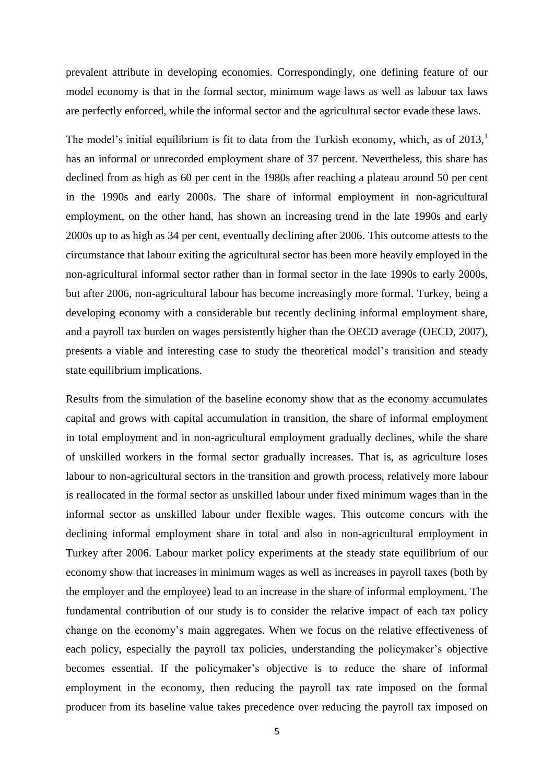prevalent attribute in developing economies. Correspondingly, one defining feature of our model economy is that in the formal sector, minimum wage laws as well as labour tax laws are perfectly enforced, while the informal sector and the agricultural sector evade these laws.

The model's initial equilibrium is fit to data from the Turkish economy, which, as of  $2013$ ,<sup>1</sup> has an informal or unrecorded employment share of 37 percent. Nevertheless, this share has declined from as high as 60 per cent in the 1980s after reaching a plateau around 50 per cent in the 1990s and early 2000s. The share of informal employment in non-agricultural employment, on the other hand, has shown an increasing trend in the late 1990s and early 2000s up to as high as 34 per cent, eventually declining after 2006. This outcome attests to the circumstance that labour exiting the agricultural sector has been more heavily employed in the non-agricultural informal sector rather than in formal sector in the late 1990s to early 2000s, but after 2006, non-agricultural labour has become increasingly more formal. Turkey, being a developing economy with a considerable but recently declining informal employment share, and a payroll tax burden on wages persistently higher than the OECD average (OECD, 2007), presents a viable and interesting case to study the theoretical model's transition and steady state equilibrium implications.

Results from the simulation of the baseline economy show that as the economy accumulates capital and grows with capital accumulation in transition, the share of informal employment in total employment and in non-agricultural employment gradually declines, while the share of unskilled workers in the formal sector gradually increases. That is, as agriculture loses labour to non-agricultural sectors in the transition and growth process, relatively more labour is reallocated in the formal sector as unskilled labour under fixed minimum wages than in the informal sector as unskilled labour under flexible wages. This outcome concurs with the declining informal employment share in total and also in non-agricultural employment in Turkey after 2006. Labour market policy experiments at the steady state equilibrium of our economy show that increases in minimum wages as well as increases in payroll taxes (both by the employer and the employee) lead to an increase in the share of informal employment. The fundamental contribution of our study is to consider the relative impact of each tax policy change on the economy's main aggregates. When we focus on the relative effectiveness of each policy, especially the payroll tax policies, understanding the policymaker's objective becomes essential. If the policymaker's objective is to reduce the share of informal employment in the economy, then reducing the payroll tax rate imposed on the formal producer from its baseline value takes precedence over reducing the payroll tax imposed on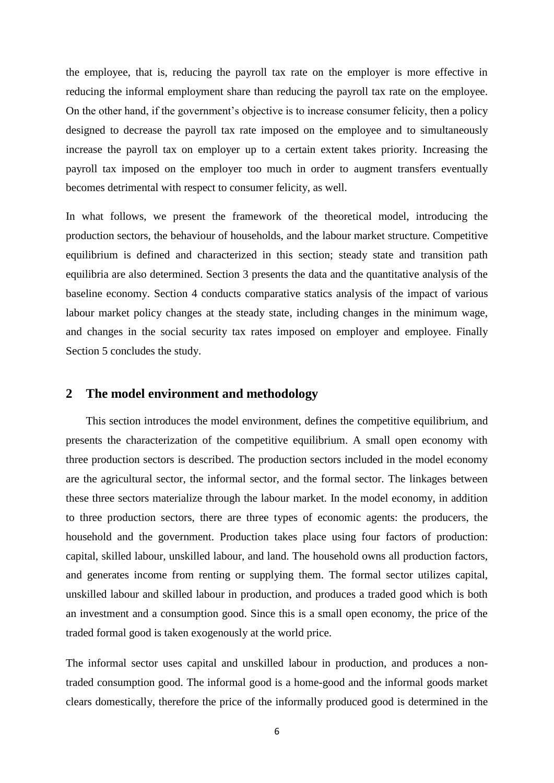the employee, that is, reducing the payroll tax rate on the employer is more effective in reducing the informal employment share than reducing the payroll tax rate on the employee. On the other hand, if the government's objective is to increase consumer felicity, then a policy designed to decrease the payroll tax rate imposed on the employee and to simultaneously increase the payroll tax on employer up to a certain extent takes priority. Increasing the payroll tax imposed on the employer too much in order to augment transfers eventually becomes detrimental with respect to consumer felicity, as well.

In what follows, we present the framework of the theoretical model, introducing the production sectors, the behaviour of households, and the labour market structure. Competitive equilibrium is defined and characterized in this section; steady state and transition path equilibria are also determined. Section 3 presents the data and the quantitative analysis of the baseline economy. Section 4 conducts comparative statics analysis of the impact of various labour market policy changes at the steady state, including changes in the minimum wage, and changes in the social security tax rates imposed on employer and employee. Finally Section 5 concludes the study.

#### **2 The model environment and methodology**

This section introduces the model environment, defines the competitive equilibrium, and presents the characterization of the competitive equilibrium. A small open economy with three production sectors is described. The production sectors included in the model economy are the agricultural sector, the informal sector, and the formal sector. The linkages between these three sectors materialize through the labour market. In the model economy, in addition to three production sectors, there are three types of economic agents: the producers, the household and the government. Production takes place using four factors of production: capital, skilled labour, unskilled labour, and land. The household owns all production factors, and generates income from renting or supplying them. The formal sector utilizes capital, unskilled labour and skilled labour in production, and produces a traded good which is both an investment and a consumption good. Since this is a small open economy, the price of the traded formal good is taken exogenously at the world price.

The informal sector uses capital and unskilled labour in production, and produces a nontraded consumption good. The informal good is a home-good and the informal goods market clears domestically, therefore the price of the informally produced good is determined in the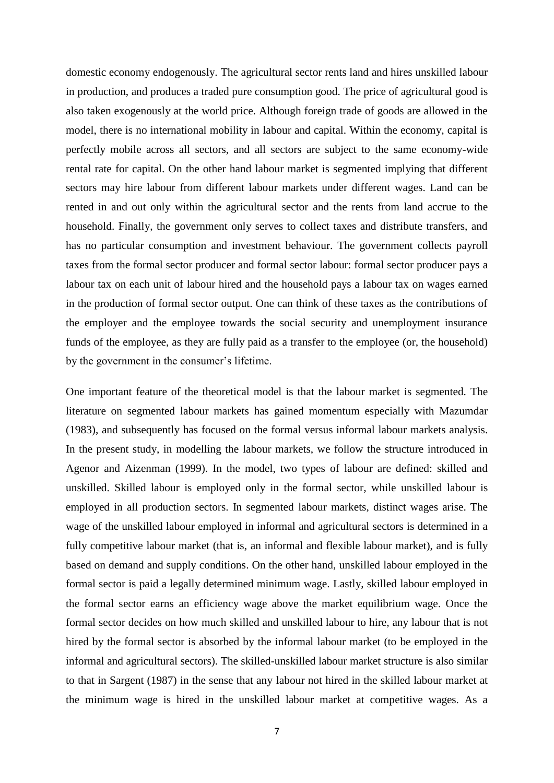domestic economy endogenously. The agricultural sector rents land and hires unskilled labour in production, and produces a traded pure consumption good. The price of agricultural good is also taken exogenously at the world price. Although foreign trade of goods are allowed in the model, there is no international mobility in labour and capital. Within the economy, capital is perfectly mobile across all sectors, and all sectors are subject to the same economy-wide rental rate for capital. On the other hand labour market is segmented implying that different sectors may hire labour from different labour markets under different wages. Land can be rented in and out only within the agricultural sector and the rents from land accrue to the household. Finally, the government only serves to collect taxes and distribute transfers, and has no particular consumption and investment behaviour. The government collects payroll taxes from the formal sector producer and formal sector labour: formal sector producer pays a labour tax on each unit of labour hired and the household pays a labour tax on wages earned in the production of formal sector output. One can think of these taxes as the contributions of the employer and the employee towards the social security and unemployment insurance funds of the employee, as they are fully paid as a transfer to the employee (or, the household) by the government in the consumer's lifetime.

One important feature of the theoretical model is that the labour market is segmented. The literature on segmented labour markets has gained momentum especially with Mazumdar (1983), and subsequently has focused on the formal versus informal labour markets analysis. In the present study, in modelling the labour markets, we follow the structure introduced in Agenor and Aizenman (1999). In the model, two types of labour are defined: skilled and unskilled. Skilled labour is employed only in the formal sector, while unskilled labour is employed in all production sectors. In segmented labour markets, distinct wages arise. The wage of the unskilled labour employed in informal and agricultural sectors is determined in a fully competitive labour market (that is, an informal and flexible labour market), and is fully based on demand and supply conditions. On the other hand, unskilled labour employed in the formal sector is paid a legally determined minimum wage. Lastly, skilled labour employed in the formal sector earns an efficiency wage above the market equilibrium wage. Once the formal sector decides on how much skilled and unskilled labour to hire, any labour that is not hired by the formal sector is absorbed by the informal labour market (to be employed in the informal and agricultural sectors). The skilled-unskilled labour market structure is also similar to that in Sargent (1987) in the sense that any labour not hired in the skilled labour market at the minimum wage is hired in the unskilled labour market at competitive wages. As a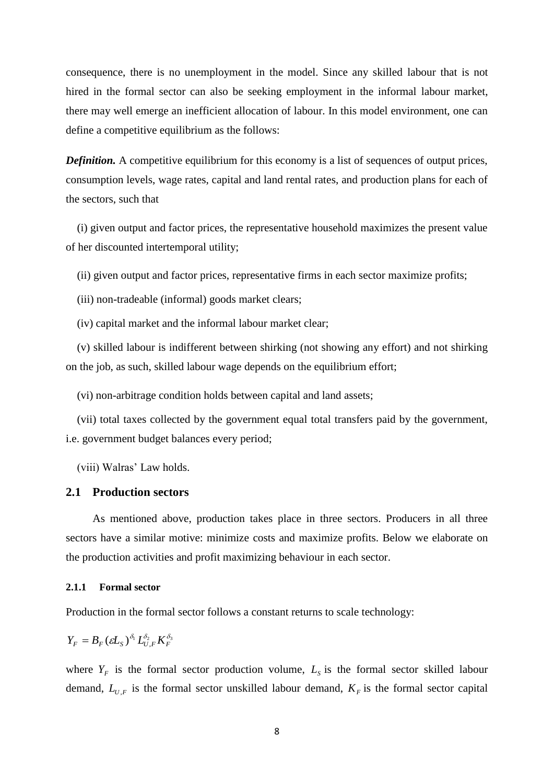consequence, there is no unemployment in the model. Since any skilled labour that is not hired in the formal sector can also be seeking employment in the informal labour market, there may well emerge an inefficient allocation of labour. In this model environment, one can define a competitive equilibrium as the follows:

**Definition.** A competitive equilibrium for this economy is a list of sequences of output prices, consumption levels, wage rates, capital and land rental rates, and production plans for each of the sectors, such that

 (i) given output and factor prices, the representative household maximizes the present value of her discounted intertemporal utility;

(ii) given output and factor prices, representative firms in each sector maximize profits;

(iii) non-tradeable (informal) goods market clears;

(iv) capital market and the informal labour market clear;

 (v) skilled labour is indifferent between shirking (not showing any effort) and not shirking on the job, as such, skilled labour wage depends on the equilibrium effort;

(vi) non-arbitrage condition holds between capital and land assets;

 (vii) total taxes collected by the government equal total transfers paid by the government, i.e. government budget balances every period;

(viii) Walras' Law holds.

#### **2.1 Production sectors**

As mentioned above, production takes place in three sectors. Producers in all three sectors have a similar motive: minimize costs and maximize profits. Below we elaborate on the production activities and profit maximizing behaviour in each sector.

#### **2.1.1 Formal sector**

Production in the formal sector follows a constant returns to scale technology:

$$
Y_F = B_F ( \varepsilon L_S )^{\delta_1} L_{U,F}^{\delta_2} K_F^{\delta_3}
$$

where  $Y_F$  is the formal sector production volume,  $L_S$  is the formal sector skilled labour demand,  $L_{U,F}$  is the formal sector unskilled labour demand,  $K_F$  is the formal sector capital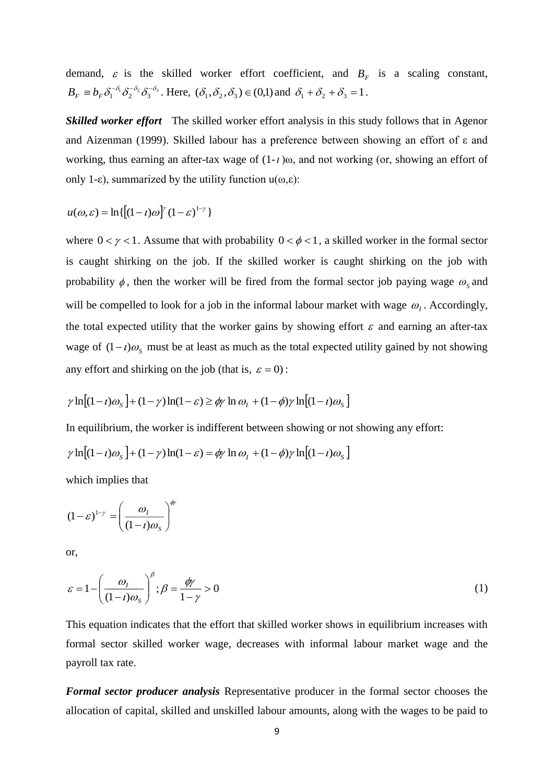demand,  $\varepsilon$  is the skilled worker effort coefficient, and  $B<sub>F</sub>$  is a scaling constant,  $B_F \equiv b_F \delta_1^{-\delta_1} \delta_2^{-\delta_2} \delta_3^{-\delta_3}$ . Here,  $(\delta_1, \delta_2, \delta_3) \in (0,1)$  and  $\delta_1 + \delta_2 + \delta_3 = 1$ .

*Skilled worker effort* The skilled worker effort analysis in this study follows that in Agenor and Aizenman (1999). Skilled labour has a preference between showing an effort of ε and working, thus earning an after-tax wage of  $(1-t)\omega$ , and not working (or, showing an effort of only 1-ε), summarized by the utility function  $u(\omega, \varepsilon)$ :

$$
u(\omega,\varepsilon) = \ln\{[(1-t)\omega]^{\gamma} (1-\varepsilon)^{1-\gamma}\}
$$

where  $0 < \gamma < 1$ . Assume that with probability  $0 < \phi < 1$ , a skilled worker in the formal sector is caught shirking on the job. If the skilled worker is caught shirking on the job with probability  $\phi$ , then the worker will be fired from the formal sector job paying wage  $\omega_s$  and will be compelled to look for a job in the informal labour market with wage  $\omega_i$ . Accordingly, the total expected utility that the worker gains by showing effort  $\varepsilon$  and earning an after-tax wage of  $(1 - i)\omega_s$  must be at least as much as the total expected utility gained by not showing any effort and shirking on the job (that is,  $\varepsilon = 0$ ):

$$
\gamma \ln \left[ (1 - t)\omega_s \right] + (1 - \gamma) \ln(1 - \varepsilon) \ge \phi \gamma \ln \omega_t + (1 - \phi)\gamma \ln \left[ (1 - t)\omega_s \right]
$$

In equilibrium, the worker is indifferent between showing or not showing any effort:

$$
\gamma \ln \left[ (1-t)\omega_s \right] + (1-\gamma)\ln(1-\varepsilon) = \phi \gamma \ln \omega_l + (1-\phi)\gamma \ln \left[ (1-t)\omega_s \right]
$$

which implies that

$$
(1 - \varepsilon)^{1 - \gamma} = \left(\frac{\omega_I}{(1 - \iota)\omega_s}\right)^{\phi_\gamma}
$$

or,

$$
\varepsilon = 1 - \left(\frac{\omega_I}{(1 - t)\omega_S}\right)^{\beta}; \beta = \frac{\phi\gamma}{1 - \gamma} > 0
$$
\n(1)

This equation indicates that the effort that skilled worker shows in equilibrium increases with formal sector skilled worker wage, decreases with informal labour market wage and the payroll tax rate.

*Formal sector producer analysis* Representative producer in the formal sector chooses the allocation of capital, skilled and unskilled labour amounts, along with the wages to be paid to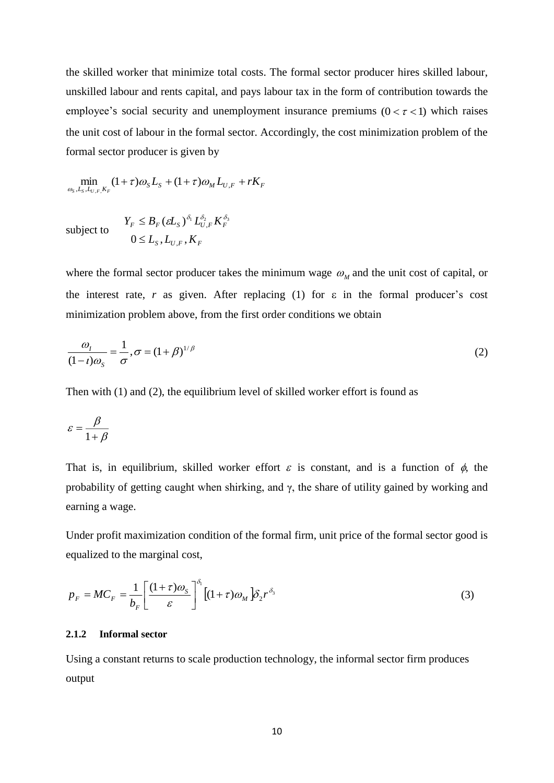the skilled worker that minimize total costs. The formal sector producer hires skilled labour, unskilled labour and rents capital, and pays labour tax in the form of contribution towards the employee's social security and unemployment insurance premiums  $(0 < \tau < 1)$  which raises the unit cost of labour in the formal sector. Accordingly, the cost minimization problem of the formal sector producer is given by

 $\min_{S, L_S, L_U, F, K_F} (1 + \tau) \omega_S L_S + (1 + \tau) \omega_M L_{U, F} + rK_F$  $\min_{\omega_{s},L_{s},L_{t},K_{r}}(1+\tau)\omega_{s}L_{s}+(1+\tau)\omega_{s}$ 

subject to

$$
Y_F \leq B_F ( \varepsilon L_S )^{\delta_1} L_{U,F}^{\delta_2} K_F^{\delta_3}
$$
  

$$
0 \leq L_S, L_{U,F}, K_F
$$

where the formal sector producer takes the minimum wage  $\omega_M$  and the unit cost of capital, or the interest rate, *r* as given. After replacing (1) for  $\varepsilon$  in the formal producer's cost minimization problem above, from the first order conditions we obtain

$$
\frac{\omega_I}{(1-t)\omega_S} = \frac{1}{\sigma}, \sigma = (1+\beta)^{1/\beta} \tag{2}
$$

Then with (1) and (2), the equilibrium level of skilled worker effort is found as

$$
\varepsilon = \frac{\beta}{1 + \beta}
$$

That is, in equilibrium, skilled worker effort  $\varepsilon$  is constant, and is a function of  $\phi$ , the probability of getting caught when shirking, and  $\gamma$ , the share of utility gained by working and earning a wage.

Under profit maximization condition of the formal firm, unit price of the formal sector good is equalized to the marginal cost,

$$
p_F = MC_F = \frac{1}{b_F} \left[ \frac{(1+\tau)\omega_s}{\varepsilon} \right]^{\delta_1} \left[ (1+\tau)\omega_M \right] \delta_2 r^{\delta_3} \tag{3}
$$

#### **2.1.2 Informal sector**

Using a constant returns to scale production technology, the informal sector firm produces output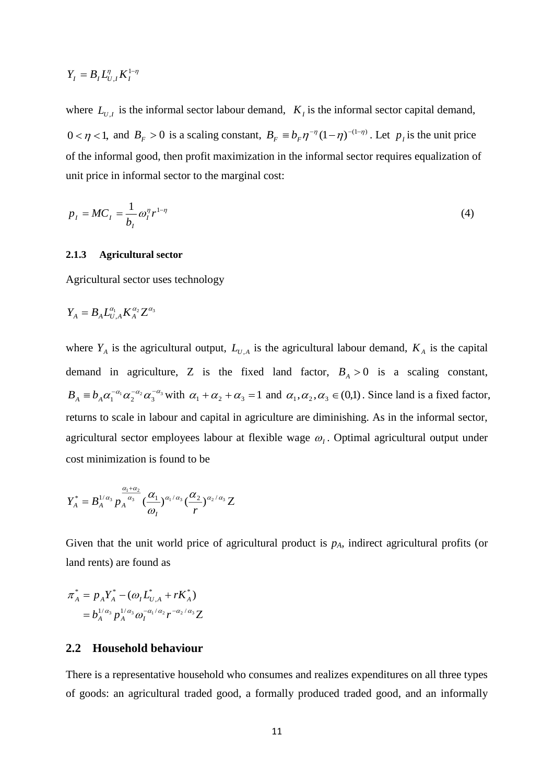$$
Y_I = B_I L_{U,I}^{\eta} K_I^{1-\eta}
$$

where  $L_{U,I}$  is the informal sector labour demand,  $K_I$  is the informal sector capital demand,  $0 < \eta < 1$ , and  $B_F > 0$  is a scaling constant,  $B_F = b_F \eta^{-\eta} (1 - \eta)^{-(1 - \eta)}$ . Let  $p_I$  is the unit price of the informal good, then profit maximization in the informal sector requires equalization of unit price in informal sector to the marginal cost:

$$
p_I = MC_I = \frac{1}{b_I} \omega_I^{\eta} r^{1-\eta} \tag{4}
$$

#### **2.1.3 Agricultural sector**

Agricultural sector uses technology

$$
Y_A = B_A L_{U,A}^{\alpha_1} K_A^{\alpha_2} Z^{\alpha_3}
$$

 ${}_{U,I}^{n}$  is the informal sector labour demand<br>
, and  $B_F > 0$  is a scaling constant,  $B_F$ <br>
(ormal good, then profit maximization is<br>
in informal sector to the marginal cost<br>  ${}_{Y_I} = \frac{1}{b_I} \omega_I^n r^{1-\eta}$ <br> **gricultural secto** where  $Y_A$  is the agricultural output,  $L_{U,A}$  is the agricultural labour demand,  $K_A$  is the capital demand in agriculture, Z is the fixed land factor,  $B_A > 0$  is a scaling constant,  $B_A \equiv b_A \alpha_1^{-\alpha_1} \alpha_2^{-\alpha_2} \alpha_3^{-\alpha_3}$  with  $\alpha_1 + \alpha_2 + \alpha_3 = 1$  and  $\alpha_1, \alpha_2, \alpha_3 \in (0,1)$ . Since land is a fixed factor, returns to scale in labour and capital in agriculture are diminishing. As in the informal sector, agricultural sector employees labour at flexible wage  $\omega_l$ . Optimal agricultural output under cost minimization is found to be

$$
Y_A^* = B_A^{1/\alpha_3} p_A^{\frac{\alpha_1+\alpha_2}{\alpha_3}} (\frac{\alpha_1}{\omega_1})^{\alpha_1/\alpha_3} (\frac{\alpha_2}{r})^{\alpha_2/\alpha_3} Z
$$

Given that the unit world price of agricultural product is *pA*, indirect agricultural profits (or land rents) are found as

$$
\pi_A^* = p_A Y_A^* - (\omega_I L_{U,A}^* + rK_A^*)
$$
  
=  $b_A^{1/\alpha_3} p_A^{1/\alpha_3} \omega_I^{-\alpha_1/\alpha_2} r^{-\alpha_2/\alpha_3} Z$ 

#### **2.2 Household behaviour**

There is a representative household who consumes and realizes expenditures on all three types of goods: an agricultural traded good, a formally produced traded good, and an informally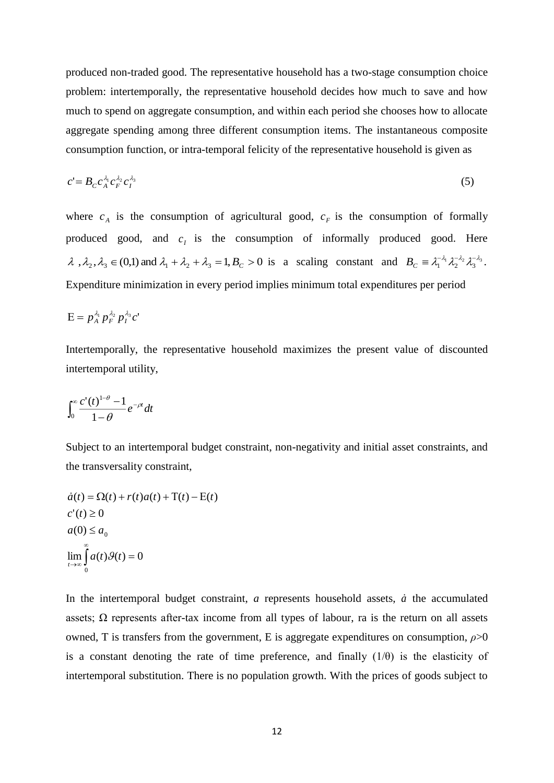produced non-traded good. The representative household has a two-stage consumption choice problem: intertemporally, the representative household decides how much to save and how much to spend on aggregate consumption, and within each period she chooses how to allocate aggregate spending among three different consumption items. The instantaneous composite consumption function, or intra-temporal felicity of the representative household is given as

$$
c' = B_C c_A^{\lambda_1} c_F^{\lambda_2} c_I^{\lambda_3} \tag{5}
$$

where  $c_A$  is the consumption of agricultural good,  $c_F$  is the consumption of formally produced good, and  $c_i$  is the consumption of informally produced good. Here  $\lambda$ ,  $\lambda_2$ ,  $\lambda_3 \in (0,1)$  and  $\lambda_1 + \lambda_2 + \lambda_3 = 1$ ,  $B_c > 0$  is a scaling constant and  $B_c \equiv \lambda_1^{-\lambda_1} \lambda_2^{-\lambda_2} \lambda_3^{-\lambda_3}$ . Expenditure minimization in every period implies minimum total expenditures per period

$$
E = p_A^{\lambda_1} p_F^{\lambda_2} p_I^{\lambda_3} c'
$$

Intertemporally, the representative household maximizes the present value of discounted intertemporal utility,

$$
\int_0^\infty \frac{c'(t)^{1-\theta}-1}{1-\theta}e^{-\rho t}dt
$$

Subject to an intertemporal budget constraint, non-negativity and initial asset constraints, and the transversality constraint,

$$
\dot{a}(t) = \Omega(t) + r(t)a(t) + T(t) - E(t)
$$
  
\n
$$
c'(t) \ge 0
$$
  
\n
$$
a(0) \le a_0
$$
  
\n
$$
\lim_{t \to \infty} \int_{0}^{\infty} a(t)\mathcal{G}(t) = 0
$$

In the intertemporal budget constraint,  $a$  represents household assets,  $\dot{a}$  the accumulated assets;  $\Omega$  represents after-tax income from all types of labour, ra is the return on all assets owned, T is transfers from the government, E is aggregate expenditures on consumption, *ρ*>0 is a constant denoting the rate of time preference, and finally  $(1/\theta)$  is the elasticity of intertemporal substitution. There is no population growth. With the prices of goods subject to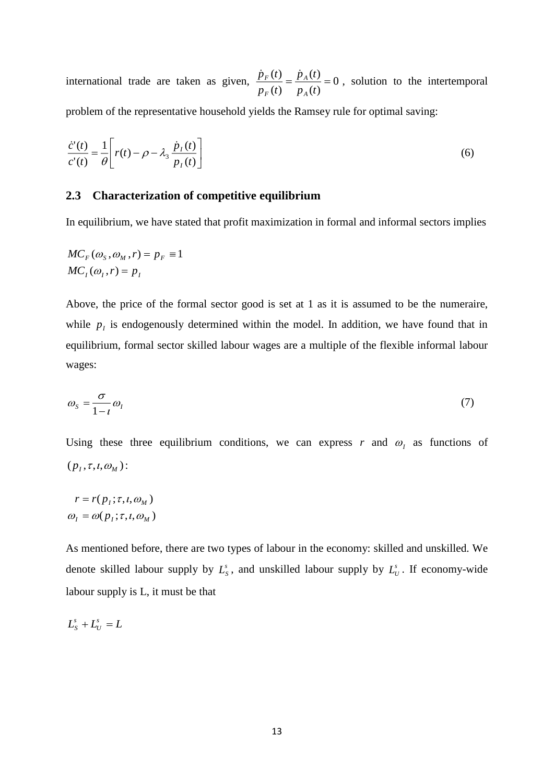international trade are taken as given,  $\frac{P F^{(i)}}{Q} = \frac{P A^{(i)}}{Q} = 0$  $(t)$  $(t)$  $(t)$  $\frac{(t)}{(t)} = \frac{\dot{p}_A(t)}{p_A(t)} =$  $p_{A}(t)$  $p_{\scriptscriptstyle F}$  (t  $p_F(t)$ *A A F*  $\frac{\dot{p}_F(t)}{\dot{p}_A(t)} = \frac{\dot{p}_A(t)}{t} = 0$ , solution to the intertemporal problem of the representative household yields the Ramsey rule for optimal saving:

$$
\frac{\dot{c}^{\prime}(t)}{c^{\prime}(t)} = \frac{1}{\theta} \left[ r(t) - \rho - \lambda_3 \frac{\dot{p}_I(t)}{p_I(t)} \right]
$$
\n(6)

#### **2.3 Characterization of competitive equilibrium**

In equilibrium, we have stated that profit maximization in formal and informal sectors implies

$$
MC_F(\omega_S, \omega_M, r) = p_F \equiv 1
$$
  

$$
MC_I(\omega_I, r) = p_I
$$

Above, the price of the formal sector good is set at 1 as it is assumed to be the numeraire, while  $p_i$  is endogenously determined within the model. In addition, we have found that in equilibrium, formal sector skilled labour wages are a multiple of the flexible informal labour wages:

$$
\omega_s = \frac{\sigma}{1 - i} \omega_l \tag{7}
$$

Using these three equilibrium conditions, we can express  $r$  and  $\omega<sub>l</sub>$  as functions of  $(p_l, \tau, l, \omega_M)$ :

$$
r = r(p_i; \tau, i, \omega_M)
$$

$$
\omega_i = \omega(p_i; \tau, i, \omega_M)
$$

As mentioned before, there are two types of labour in the economy: skilled and unskilled. We denote skilled labour supply by  $L_s^s$ , and unskilled labour supply by  $L_v^s$ . If economy-wide labour supply is L, it must be that

$$
L_s^s + L_U^s = L
$$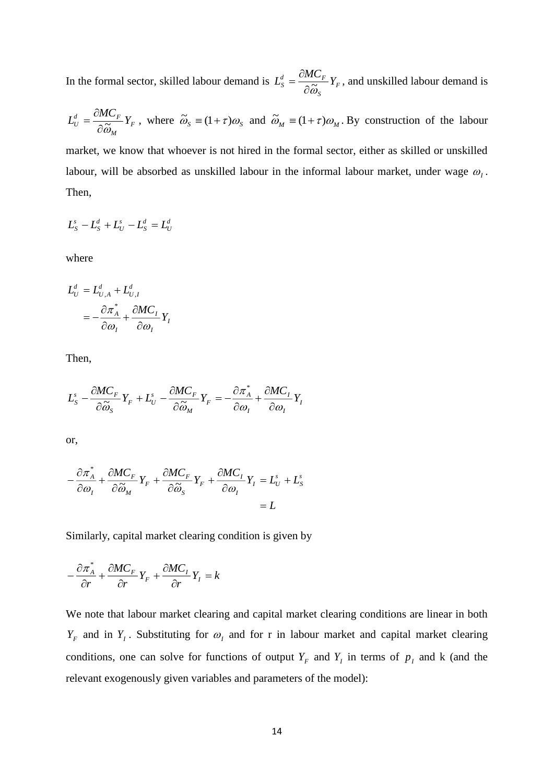In the formal sector, skilled labour demand is  $L_s^d = \frac{cmC_F}{2\pi} Y_F$ *S*  $\frac{d}{s} = \frac{CML}{2}Y$  $L^d_c = \frac{\partial MC}{\partial c}$  $\partial\widetilde{\omega}$  $=\frac{\partial MC_F}{\partial \tilde{\sigma}}Y_F$ , and unskilled labour demand is

$$
L_U^d = \frac{\partial M C_F}{\partial \widetilde{\omega}_M} Y_F
$$
, where  $\widetilde{\omega}_S = (1 + \tau)\omega_S$  and  $\widetilde{\omega}_M = (1 + \tau)\omega_M$ . By construction of the labour

market, we know that whoever is not hired in the formal sector, either as skilled or unskilled labour, will be absorbed as unskilled labour in the informal labour market, under wage  $\omega_{I}$ . Then,

$$
L_s^s - L_s^d + L_U^s - L_s^d = L_U^d
$$

where

$$
L_U^d = L_{U,A}^d + L_{U,I}^d
$$
  
= 
$$
-\frac{\partial \pi_A^*}{\partial \omega_I} + \frac{\partial MC_I}{\partial \omega_I}Y_I
$$

Then,

$$
L_{S}^{s} - \frac{\partial MC_{F}}{\partial \widetilde{\omega}_{S}}Y_{F} + L_{U}^{s} - \frac{\partial MC_{F}}{\partial \widetilde{\omega}_{M}}Y_{F} = -\frac{\partial \pi_{A}^{*}}{\partial \omega_{I}} + \frac{\partial MC_{I}}{\partial \omega_{I}}Y_{I}
$$

or,

$$
-\frac{\partial \pi_A^*}{\partial \omega_I} + \frac{\partial MC_F}{\partial \widetilde{\omega}_M} Y_F + \frac{\partial MC_F}{\partial \widetilde{\omega}_S} Y_F + \frac{\partial MC_I}{\partial \omega_I} Y_I = L_U^s + L_S^s
$$
  
= L

Similarly, capital market clearing condition is given by

$$
-\frac{\partial \pi_A^*}{\partial r} + \frac{\partial MC_F}{\partial r}Y_F + \frac{\partial MC_I}{\partial r}Y_I = k
$$

We note that labour market clearing and capital market clearing conditions are linear in both  $Y_F$  and in  $Y_I$ . Substituting for  $\omega_I$  and for r in labour market and capital market clearing conditions, one can solve for functions of output  $Y_F$  and  $Y_I$  in terms of  $p_I$  and k (and the relevant exogenously given variables and parameters of the model):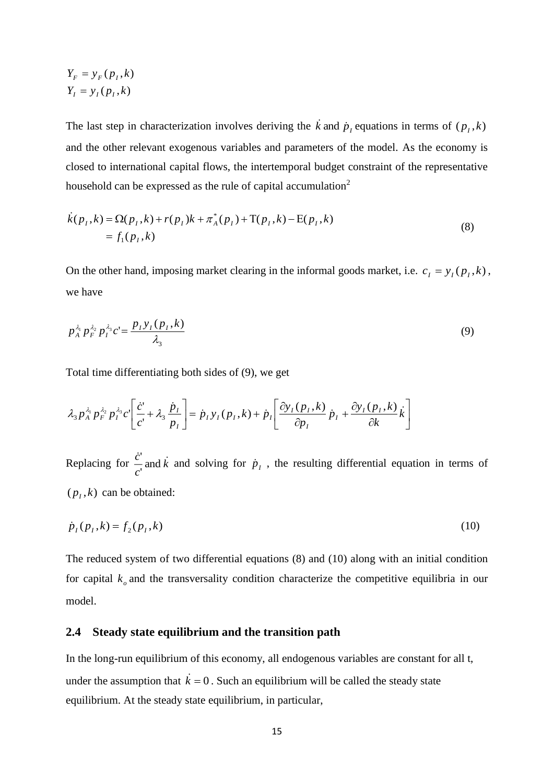$$
Y_F = y_F(p_I, k)
$$
  

$$
Y_I = y_I(p_I, k)
$$

The last step in characterization involves deriving the  $\vec{k}$  and  $\vec{p}_I$  equations in terms of  $(p_I, k)$ and the other relevant exogenous variables and parameters of the model. As the economy is closed to international capital flows, the intertemporal budget constraint of the representative household can be expressed as the rule of capital accumulation<sup>2</sup>

$$
\dot{k}(p_1, k) = \Omega(p_1, k) + r(p_1)k + \pi_A^*(p_1) + T(p_1, k) - E(p_1, k) \n= f_1(p_1, k)
$$
\n(8)

On the other hand, imposing market clearing in the informal goods market, i.e.  $c_i = y_i(p_i, k)$ , we have

$$
p_A^{\lambda_1} p_F^{\lambda_2} p_I^{\lambda_3} c' = \frac{p_I y_I (p_I, k)}{\lambda_3} \tag{9}
$$

Total time differentiating both sides of (9), we get

$$
\lambda_3 p_A^{\lambda_1} p_F^{\lambda_2} p_I^{\lambda_3} c' \left[ \frac{\dot{c}'}{c'} + \lambda_3 \frac{\dot{p}_I}{p_I} \right] = \dot{p}_I y_I(p_I, k) + \dot{p}_I \left[ \frac{\partial y_I(p_I, k)}{\partial p_I} \dot{p}_I + \frac{\partial y_I(p_I, k)}{\partial k} \dot{k} \right]
$$

Replacing for  $\frac{c}{a}$  and k *c*  $\frac{c}{a}$  and  $\dot{k}$ <sup>3</sup>'<br>¬ and and  $\vec{k}$  and solving for  $\dot{p}_I$ , the resulting differential equation in terms of  $(p_l, k)$  can be obtained:

$$
\dot{p}_I(p_I, k) = f_2(p_I, k) \tag{10}
$$

The reduced system of two differential equations (8) and (10) along with an initial condition for capital  $k_{o}$  and the transversality condition characterize the competitive equilibria in our model.

#### **2.4 Steady state equilibrium and the transition path**

In the long-run equilibrium of this economy, all endogenous variables are constant for all t, under the assumption that  $\vec{k} = 0$ . Such an equilibrium will be called the steady state equilibrium. At the steady state equilibrium, in particular,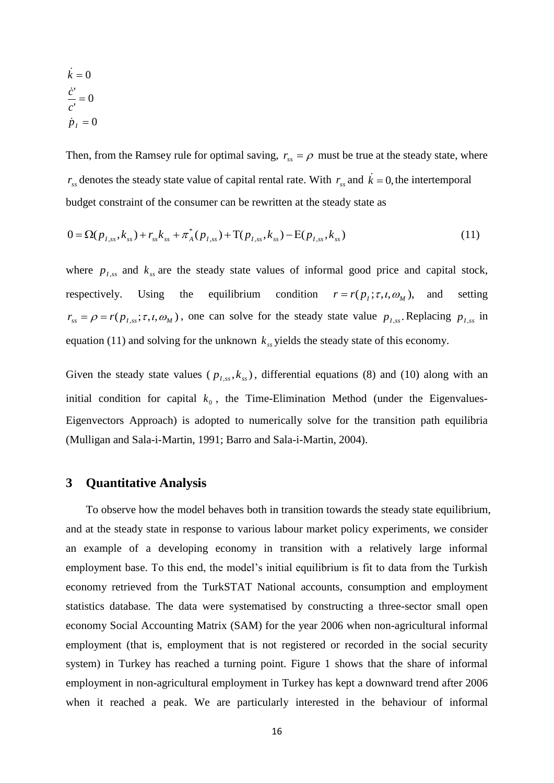$$
\dot{k} = 0
$$

$$
\frac{\dot{c}'}{c'} = 0
$$

$$
\dot{p}_I = 0
$$

Then, from the Ramsey rule for optimal saving,  $r_{ss} = \rho$  must be true at the steady state, where  $r_{ss}$  denotes the steady state value of capital rental rate. With  $r_{ss}$  and  $\dot{k} = 0$ , the intertemporal budget constraint of the consumer can be rewritten at the steady state as

$$
0 = \Omega(p_{I,ss}, k_{ss}) + r_{ss}k_{ss} + \pi_A^*(p_{I,ss}) + \Gamma(p_{I,ss}, k_{ss}) - \mathcal{E}(p_{I,ss}, k_{ss})
$$
\n(11)

where  $p_{I,ss}$  and  $k_{ss}$  are the steady state values of informal good price and capital stock, respectively. Using the equilibrium condition  $r = r(p_i; \tau, i, \omega_M)$ , setting  $r_{ss} = \rho = r(p_{I,ss}; \tau, t, \omega_M)$ , one can solve for the steady state value  $p_{I,ss}$ . Replacing  $p_{I,ss}$  in equation (11) and solving for the unknown  $k_{ss}$  yields the steady state of this economy.

Given the steady state values ( $p_{I,ss}, k_{ss}$ ), differential equations (8) and (10) along with an initial condition for capital  $k_0$ , the Time-Elimination Method (under the Eigenvalues-Eigenvectors Approach) is adopted to numerically solve for the transition path equilibria (Mulligan and Sala-i-Martin, 1991; Barro and Sala-i-Martin, 2004).

## **3 Quantitative Analysis**

To observe how the model behaves both in transition towards the steady state equilibrium, and at the steady state in response to various labour market policy experiments, we consider an example of a developing economy in transition with a relatively large informal employment base. To this end, the model's initial equilibrium is fit to data from the Turkish economy retrieved from the TurkSTAT National accounts, consumption and employment statistics database. The data were systematised by constructing a three-sector small open economy Social Accounting Matrix (SAM) for the year 2006 when non-agricultural informal employment (that is, employment that is not registered or recorded in the social security system) in Turkey has reached a turning point. Figure 1 shows that the share of informal employment in non-agricultural employment in Turkey has kept a downward trend after 2006 when it reached a peak. We are particularly interested in the behaviour of informal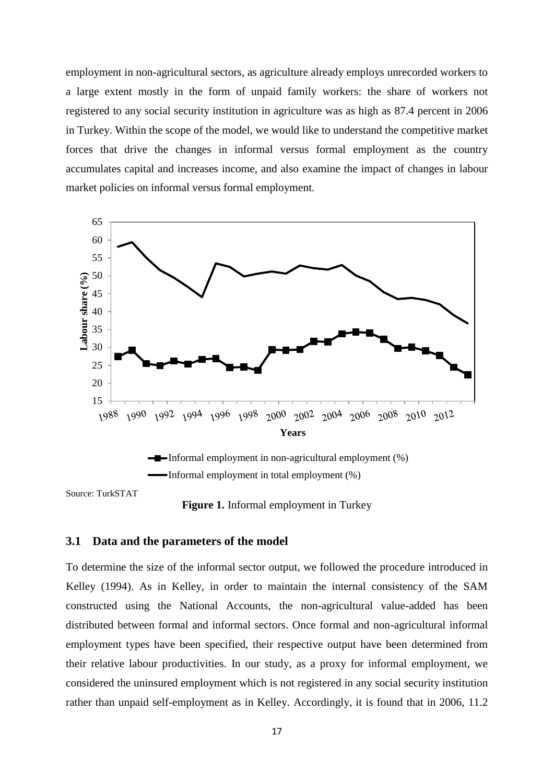employment in non-agricultural sectors, as agriculture already employs unrecorded workers to a large extent mostly in the form of unpaid family workers: the share of workers not registered to any social security institution in agriculture was as high as 87.4 percent in 2006 in Turkey. Within the scope of the model, we would like to understand the competitive market forces that drive the changes in informal versus formal employment as the country accumulates capital and increases income, and also examine the impact of changes in labour market policies on informal versus formal employment.





Source: TurkSTAT



#### **3.1 Data and the parameters of the model**

To determine the size of the informal sector output, we followed the procedure introduced in Kelley (1994). As in Kelley, in order to maintain the internal consistency of the SAM constructed using the National Accounts, the non-agricultural value-added has been distributed between formal and informal sectors. Once formal and non-agricultural informal employment types have been specified, their respective output have been determined from their relative labour productivities. In our study, as a proxy for informal employment, we considered the uninsured employment which is not registered in any social security institution rather than unpaid self-employment as in Kelley. Accordingly, it is found that in 2006, 11.2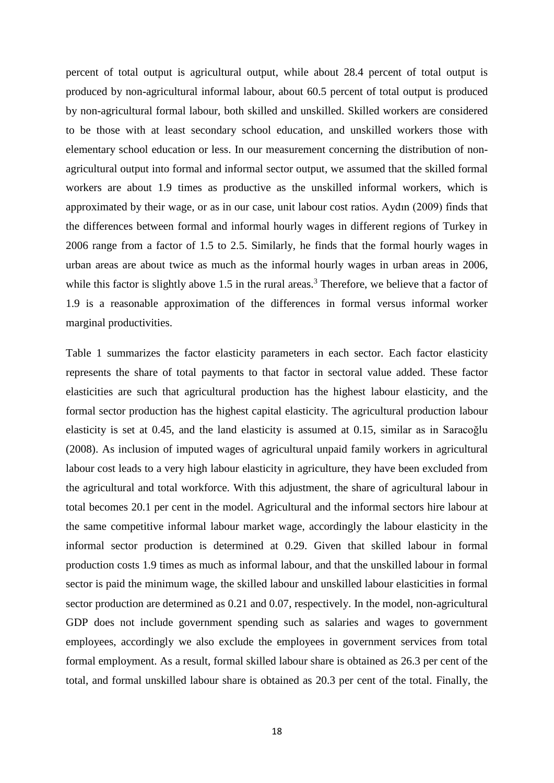percent of total output is agricultural output, while about 28.4 percent of total output is produced by non-agricultural informal labour, about 60.5 percent of total output is produced by non-agricultural formal labour, both skilled and unskilled. Skilled workers are considered to be those with at least secondary school education, and unskilled workers those with elementary school education or less. In our measurement concerning the distribution of nonagricultural output into formal and informal sector output, we assumed that the skilled formal workers are about 1.9 times as productive as the unskilled informal workers, which is approximated by their wage, or as in our case, unit labour cost ratios. Aydın (2009) finds that the differences between formal and informal hourly wages in different regions of Turkey in 2006 range from a factor of 1.5 to 2.5. Similarly, he finds that the formal hourly wages in urban areas are about twice as much as the informal hourly wages in urban areas in 2006, while this factor is slightly above 1.5 in the rural areas.<sup>3</sup> Therefore, we believe that a factor of 1.9 is a reasonable approximation of the differences in formal versus informal worker marginal productivities.

Table 1 summarizes the factor elasticity parameters in each sector. Each factor elasticity represents the share of total payments to that factor in sectoral value added. These factor elasticities are such that agricultural production has the highest labour elasticity, and the formal sector production has the highest capital elasticity. The agricultural production labour elasticity is set at 0.45, and the land elasticity is assumed at 0.15, similar as in Saracoğlu (2008). As inclusion of imputed wages of agricultural unpaid family workers in agricultural labour cost leads to a very high labour elasticity in agriculture, they have been excluded from the agricultural and total workforce. With this adjustment, the share of agricultural labour in total becomes 20.1 per cent in the model. Agricultural and the informal sectors hire labour at the same competitive informal labour market wage, accordingly the labour elasticity in the informal sector production is determined at 0.29. Given that skilled labour in formal production costs 1.9 times as much as informal labour, and that the unskilled labour in formal sector is paid the minimum wage, the skilled labour and unskilled labour elasticities in formal sector production are determined as 0.21 and 0.07, respectively. In the model, non-agricultural GDP does not include government spending such as salaries and wages to government employees, accordingly we also exclude the employees in government services from total formal employment. As a result, formal skilled labour share is obtained as 26.3 per cent of the total, and formal unskilled labour share is obtained as 20.3 per cent of the total. Finally, the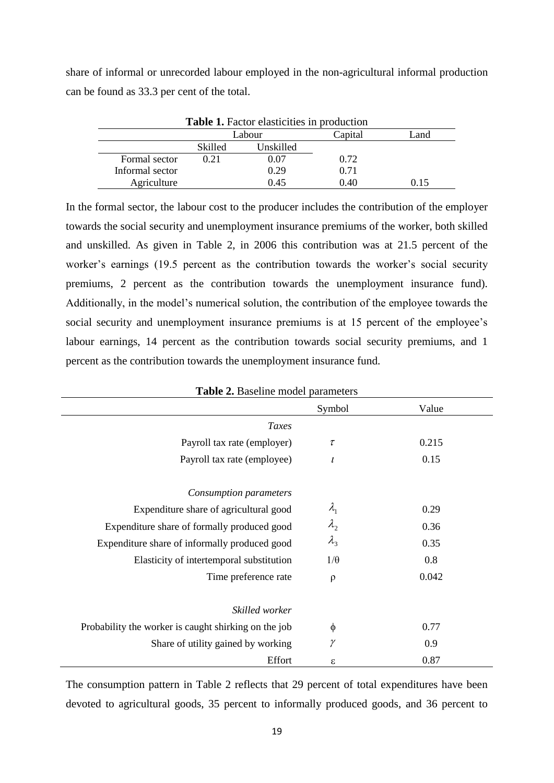share of informal or unrecorded labour employed in the non-agricultural informal production can be found as 33.3 per cent of the total.

| <b>Table 1.</b> Factor elasticities in production |                |           |         |      |  |  |
|---------------------------------------------------|----------------|-----------|---------|------|--|--|
|                                                   |                | Labour    | Capital | Land |  |  |
|                                                   | <b>Skilled</b> | Unskilled |         |      |  |  |
| Formal sector                                     | 0.21           | 0.07      | 0.72    |      |  |  |
| Informal sector                                   |                | 0.29      | 0.71    |      |  |  |
| Agriculture                                       |                | 0.45      | 0.40    | 0.15 |  |  |

In the formal sector, the labour cost to the producer includes the contribution of the employer towards the social security and unemployment insurance premiums of the worker, both skilled and unskilled. As given in Table 2, in 2006 this contribution was at 21.5 percent of the worker's earnings (19.5 percent as the contribution towards the worker's social security premiums, 2 percent as the contribution towards the unemployment insurance fund). Additionally, in the model's numerical solution, the contribution of the employee towards the social security and unemployment insurance premiums is at 15 percent of the employee's labour earnings, 14 percent as the contribution towards social security premiums, and 1 percent as the contribution towards the unemployment insurance fund.

|                                                      | Symbol        | Value |
|------------------------------------------------------|---------------|-------|
| Taxes                                                |               |       |
| Payroll tax rate (employer)                          | $\tau$        | 0.215 |
| Payroll tax rate (employee)                          | l             | 0.15  |
| Consumption parameters                               |               |       |
| Expenditure share of agricultural good               | $\lambda_{1}$ | 0.29  |
| Expenditure share of formally produced good          | $\lambda_{2}$ | 0.36  |
| Expenditure share of informally produced good        | $\lambda_3$   | 0.35  |
| Elasticity of intertemporal substitution             | $1/\theta$    | 0.8   |
| Time preference rate                                 | $\rho$        | 0.042 |
| Skilled worker                                       |               |       |
| Probability the worker is caught shirking on the job | $\phi$        | 0.77  |
| Share of utility gained by working                   | $\gamma$      | 0.9   |
| Effort                                               | ε             | 0.87  |

**Table 2.** Baseline model parameters

The consumption pattern in Table 2 reflects that 29 percent of total expenditures have been devoted to agricultural goods, 35 percent to informally produced goods, and 36 percent to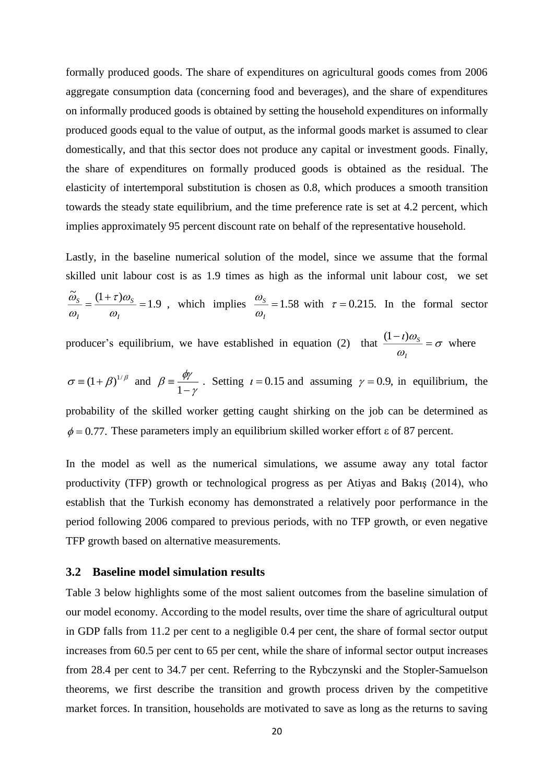formally produced goods. The share of expenditures on agricultural goods comes from 2006 aggregate consumption data (concerning food and beverages), and the share of expenditures on informally produced goods is obtained by setting the household expenditures on informally produced goods equal to the value of output, as the informal goods market is assumed to clear domestically, and that this sector does not produce any capital or investment goods. Finally, the share of expenditures on formally produced goods is obtained as the residual. The elasticity of intertemporal substitution is chosen as 0.8, which produces a smooth transition towards the steady state equilibrium, and the time preference rate is set at 4.2 percent, which implies approximately 95 percent discount rate on behalf of the representative household.

Lastly, in the baseline numerical solution of the model, since we assume that the formal skilled unit labour cost is as 1.9 times as high as the informal unit labour cost, we set 1.9  $\tilde{\omega}_s \quad (1+\tau)$  $=$  $\ddot{}$  $=$ *I S I S*  $\omega$  $\tau$  )  $\omega$  $\omega$  $\frac{\omega_s}{\omega_s} = \frac{(1+\tau)\omega_s}{\omega_s} = 1.9$ , which implies  $\frac{\omega_s}{\omega_s} = 1.58$ *I S*  $\omega$  $\frac{\omega_s}{\omega}$  = 1.58 with  $\tau$  = 0.215. In the formal sector

producer's equilibrium, we have established in equation (2) that  $\frac{(1+i)\omega_s}{\sigma} = \sigma$  $\omega$  $\frac{i}{\omega_s}$  = Ξ *I*  $\frac{(1-i)\omega_s}{\sigma} = \sigma$  where

 $\sigma = (1 + \beta)^{1/\beta}$  and γ  $\beta \equiv \frac{\phi r}{1 - r}$  $\equiv \frac{\psi}{1-\gamma}$ . Setting  $t = 0.15$  and assuming  $\gamma = 0.9$ , in equilibrium, the probability of the skilled worker getting caught shirking on the job can be determined as  $\phi$  = 0.77. These parameters imply an equilibrium skilled worker effort  $\varepsilon$  of 87 percent.

In the model as well as the numerical simulations, we assume away any total factor productivity (TFP) growth or technological progress as per Atiyas and Bakış (2014), who establish that the Turkish economy has demonstrated a relatively poor performance in the period following 2006 compared to previous periods, with no TFP growth, or even negative TFP growth based on alternative measurements.

#### **3.2 Baseline model simulation results**

Table 3 below highlights some of the most salient outcomes from the baseline simulation of our model economy. According to the model results, over time the share of agricultural output in GDP falls from 11.2 per cent to a negligible 0.4 per cent, the share of formal sector output increases from 60.5 per cent to 65 per cent, while the share of informal sector output increases from 28.4 per cent to 34.7 per cent. Referring to the Rybczynski and the Stopler-Samuelson theorems, we first describe the transition and growth process driven by the competitive market forces. In transition, households are motivated to save as long as the returns to saving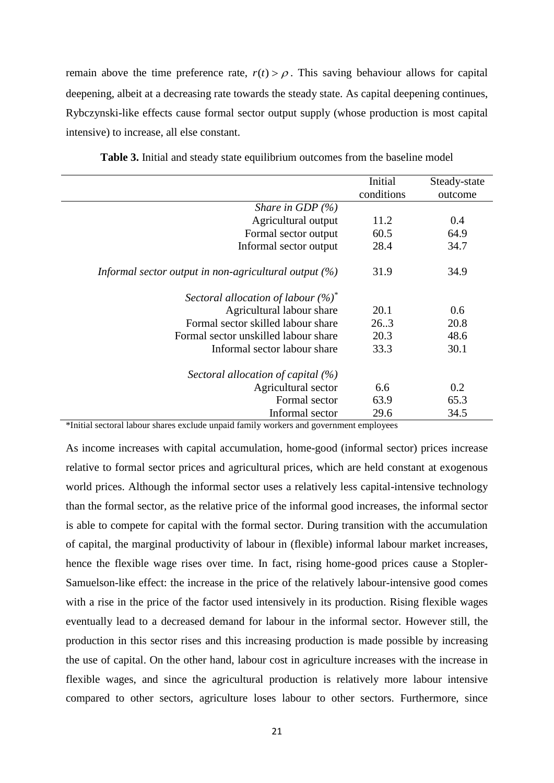remain above the time preference rate,  $r(t) > \rho$ . This saving behaviour allows for capital deepening, albeit at a decreasing rate towards the steady state. As capital deepening continues, Rybczynski-like effects cause formal sector output supply (whose production is most capital intensive) to increase, all else constant.

|                                                          | Initial    | Steady-state |
|----------------------------------------------------------|------------|--------------|
|                                                          | conditions | outcome      |
| Share in GDP $(\%)$                                      |            |              |
| Agricultural output                                      | 11.2       | 0.4          |
| Formal sector output                                     | 60.5       | 64.9         |
| Informal sector output                                   | 28.4       | 34.7         |
| Informal sector output in non-agricultural output $(\%)$ | 31.9       | 34.9         |
| Sectoral allocation of labour $(\%)^*$                   |            |              |
| Agricultural labour share                                | 20.1       | 0.6          |
| Formal sector skilled labour share                       | 26.3       | 20.8         |
| Formal sector unskilled labour share                     | 20.3       | 48.6         |
| Informal sector labour share                             | 33.3       | 30.1         |
| Sectoral allocation of capital $(\%)$                    |            |              |
| Agricultural sector                                      | 6.6        | 0.2          |
| Formal sector                                            | 63.9       | 65.3         |
| Informal sector                                          | 29.6       | 34.5         |

**Table 3.** Initial and steady state equilibrium outcomes from the baseline model

\*Initial sectoral labour shares exclude unpaid family workers and government employees

As income increases with capital accumulation, home-good (informal sector) prices increase relative to formal sector prices and agricultural prices, which are held constant at exogenous world prices. Although the informal sector uses a relatively less capital-intensive technology than the formal sector, as the relative price of the informal good increases, the informal sector is able to compete for capital with the formal sector. During transition with the accumulation of capital, the marginal productivity of labour in (flexible) informal labour market increases, hence the flexible wage rises over time. In fact, rising home-good prices cause a Stopler-Samuelson-like effect: the increase in the price of the relatively labour-intensive good comes with a rise in the price of the factor used intensively in its production. Rising flexible wages eventually lead to a decreased demand for labour in the informal sector. However still, the production in this sector rises and this increasing production is made possible by increasing the use of capital. On the other hand, labour cost in agriculture increases with the increase in flexible wages, and since the agricultural production is relatively more labour intensive compared to other sectors, agriculture loses labour to other sectors. Furthermore, since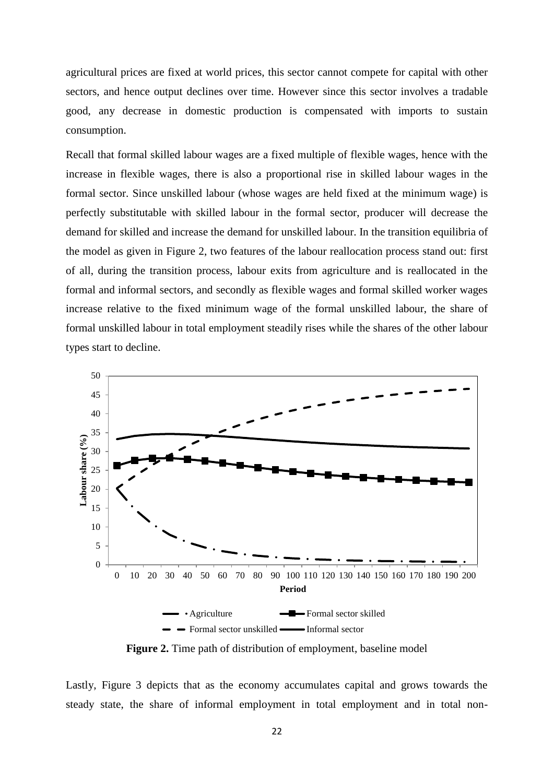agricultural prices are fixed at world prices, this sector cannot compete for capital with other sectors, and hence output declines over time. However since this sector involves a tradable good, any decrease in domestic production is compensated with imports to sustain consumption.

Recall that formal skilled labour wages are a fixed multiple of flexible wages, hence with the increase in flexible wages, there is also a proportional rise in skilled labour wages in the formal sector. Since unskilled labour (whose wages are held fixed at the minimum wage) is perfectly substitutable with skilled labour in the formal sector, producer will decrease the demand for skilled and increase the demand for unskilled labour. In the transition equilibria of the model as given in Figure 2, two features of the labour reallocation process stand out: first of all, during the transition process, labour exits from agriculture and is reallocated in the formal and informal sectors, and secondly as flexible wages and formal skilled worker wages increase relative to the fixed minimum wage of the formal unskilled labour, the share of formal unskilled labour in total employment steadily rises while the shares of the other labour types start to decline.



**Figure 2.** Time path of distribution of employment, baseline model

Lastly, Figure 3 depicts that as the economy accumulates capital and grows towards the steady state, the share of informal employment in total employment and in total non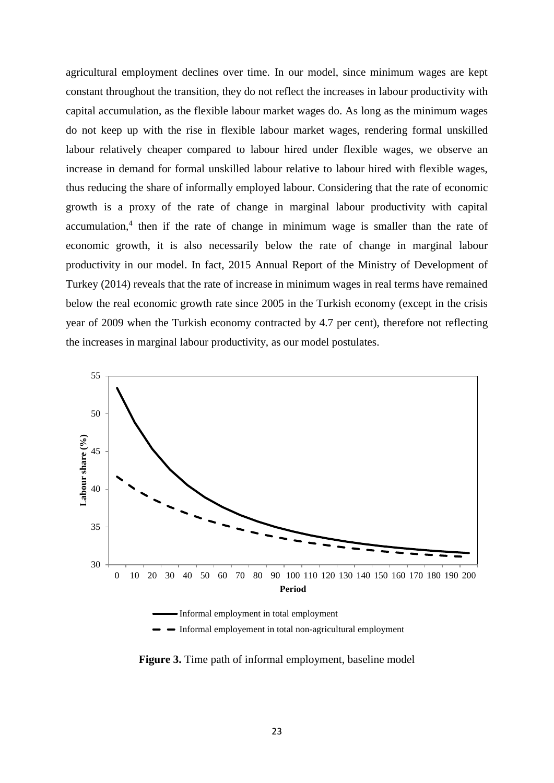agricultural employment declines over time. In our model, since minimum wages are kept constant throughout the transition, they do not reflect the increases in labour productivity with capital accumulation, as the flexible labour market wages do. As long as the minimum wages do not keep up with the rise in flexible labour market wages, rendering formal unskilled labour relatively cheaper compared to labour hired under flexible wages, we observe an increase in demand for formal unskilled labour relative to labour hired with flexible wages, thus reducing the share of informally employed labour. Considering that the rate of economic growth is a proxy of the rate of change in marginal labour productivity with capital accumulation,<sup>4</sup> then if the rate of change in minimum wage is smaller than the rate of economic growth, it is also necessarily below the rate of change in marginal labour productivity in our model. In fact, 2015 Annual Report of the Ministry of Development of Turkey (2014) reveals that the rate of increase in minimum wages in real terms have remained below the real economic growth rate since 2005 in the Turkish economy (except in the crisis year of 2009 when the Turkish economy contracted by 4.7 per cent), therefore not reflecting the increases in marginal labour productivity, as our model postulates.



**Figure 3.** Time path of informal employment, baseline model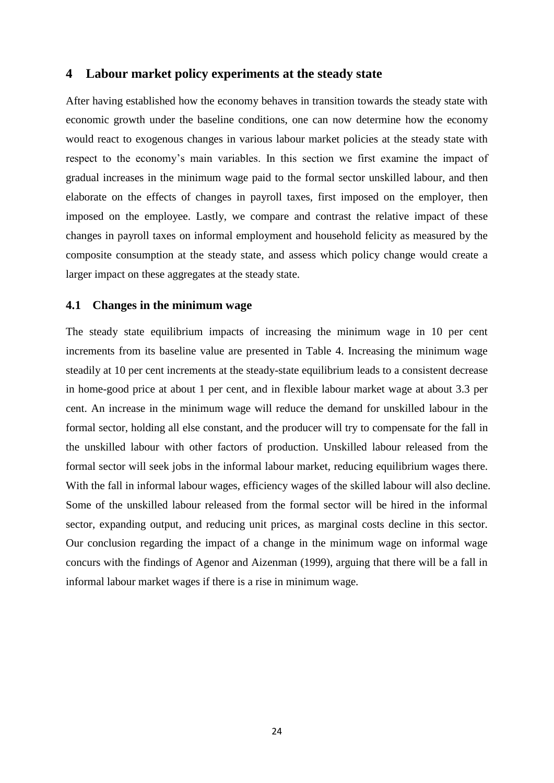#### **4 Labour market policy experiments at the steady state**

After having established how the economy behaves in transition towards the steady state with economic growth under the baseline conditions, one can now determine how the economy would react to exogenous changes in various labour market policies at the steady state with respect to the economy's main variables. In this section we first examine the impact of gradual increases in the minimum wage paid to the formal sector unskilled labour, and then elaborate on the effects of changes in payroll taxes, first imposed on the employer, then imposed on the employee. Lastly, we compare and contrast the relative impact of these changes in payroll taxes on informal employment and household felicity as measured by the composite consumption at the steady state, and assess which policy change would create a larger impact on these aggregates at the steady state.

#### **4.1 Changes in the minimum wage**

The steady state equilibrium impacts of increasing the minimum wage in 10 per cent increments from its baseline value are presented in Table 4. Increasing the minimum wage steadily at 10 per cent increments at the steady-state equilibrium leads to a consistent decrease in home-good price at about 1 per cent, and in flexible labour market wage at about 3.3 per cent. An increase in the minimum wage will reduce the demand for unskilled labour in the formal sector, holding all else constant, and the producer will try to compensate for the fall in the unskilled labour with other factors of production. Unskilled labour released from the formal sector will seek jobs in the informal labour market, reducing equilibrium wages there. With the fall in informal labour wages, efficiency wages of the skilled labour will also decline. Some of the unskilled labour released from the formal sector will be hired in the informal sector, expanding output, and reducing unit prices, as marginal costs decline in this sector. Our conclusion regarding the impact of a change in the minimum wage on informal wage concurs with the findings of Agenor and Aizenman (1999), arguing that there will be a fall in informal labour market wages if there is a rise in minimum wage.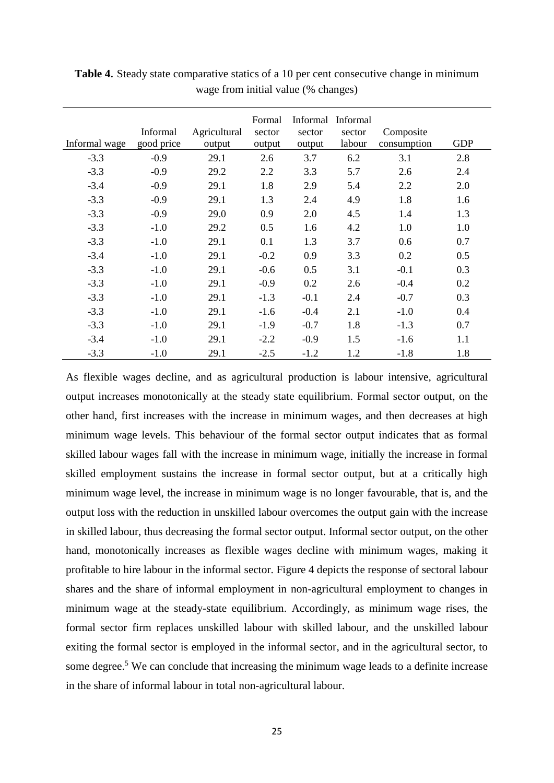| Informal wage | Informal<br>good price | Agricultural<br>output | Formal<br>sector<br>output | Informal<br>sector<br>output | Informal<br>sector<br>labour | Composite<br>consumption | <b>GDP</b> |
|---------------|------------------------|------------------------|----------------------------|------------------------------|------------------------------|--------------------------|------------|
| $-3.3$        | $-0.9$                 | 29.1                   | 2.6                        | 3.7                          | 6.2                          | 3.1                      | 2.8        |
| $-3.3$        | $-0.9$                 | 29.2                   | 2.2                        | 3.3                          | 5.7                          | 2.6                      | 2.4        |
| $-3.4$        | $-0.9$                 | 29.1                   | 1.8                        | 2.9                          | 5.4                          | 2.2                      | 2.0        |
| $-3.3$        | $-0.9$                 | 29.1                   | 1.3                        | 2.4                          | 4.9                          | 1.8                      | 1.6        |
| $-3.3$        | $-0.9$                 | 29.0                   | 0.9                        | 2.0                          | 4.5                          | 1.4                      | 1.3        |
| $-3.3$        | $-1.0$                 | 29.2                   | 0.5                        | 1.6                          | 4.2                          | 1.0                      | 1.0        |
| $-3.3$        | $-1.0$                 | 29.1                   | 0.1                        | 1.3                          | 3.7                          | 0.6                      | 0.7        |
| $-3.4$        | $-1.0$                 | 29.1                   | $-0.2$                     | 0.9                          | 3.3                          | 0.2                      | 0.5        |
| $-3.3$        | $-1.0$                 | 29.1                   | $-0.6$                     | 0.5                          | 3.1                          | $-0.1$                   | 0.3        |
| $-3.3$        | $-1.0$                 | 29.1                   | $-0.9$                     | 0.2                          | 2.6                          | $-0.4$                   | 0.2        |
| $-3.3$        | $-1.0$                 | 29.1                   | $-1.3$                     | $-0.1$                       | 2.4                          | $-0.7$                   | 0.3        |
| $-3.3$        | $-1.0$                 | 29.1                   | $-1.6$                     | $-0.4$                       | 2.1                          | $-1.0$                   | 0.4        |
| $-3.3$        | $-1.0$                 | 29.1                   | $-1.9$                     | $-0.7$                       | 1.8                          | $-1.3$                   | 0.7        |
| $-3.4$        | $-1.0$                 | 29.1                   | $-2.2$                     | $-0.9$                       | 1.5                          | $-1.6$                   | 1.1        |
| $-3.3$        | $-1.0$                 | 29.1                   | $-2.5$                     | $-1.2$                       | 1.2                          | $-1.8$                   | 1.8        |

**Table 4**. Steady state comparative statics of a 10 per cent consecutive change in minimum wage from initial value (% changes)

As flexible wages decline, and as agricultural production is labour intensive, agricultural output increases monotonically at the steady state equilibrium. Formal sector output, on the other hand, first increases with the increase in minimum wages, and then decreases at high minimum wage levels. This behaviour of the formal sector output indicates that as formal skilled labour wages fall with the increase in minimum wage, initially the increase in formal skilled employment sustains the increase in formal sector output, but at a critically high minimum wage level, the increase in minimum wage is no longer favourable, that is, and the output loss with the reduction in unskilled labour overcomes the output gain with the increase in skilled labour, thus decreasing the formal sector output. Informal sector output, on the other hand, monotonically increases as flexible wages decline with minimum wages, making it profitable to hire labour in the informal sector. Figure 4 depicts the response of sectoral labour shares and the share of informal employment in non-agricultural employment to changes in minimum wage at the steady-state equilibrium. Accordingly, as minimum wage rises, the formal sector firm replaces unskilled labour with skilled labour, and the unskilled labour exiting the formal sector is employed in the informal sector, and in the agricultural sector, to some degree.<sup>5</sup> We can conclude that increasing the minimum wage leads to a definite increase in the share of informal labour in total non-agricultural labour.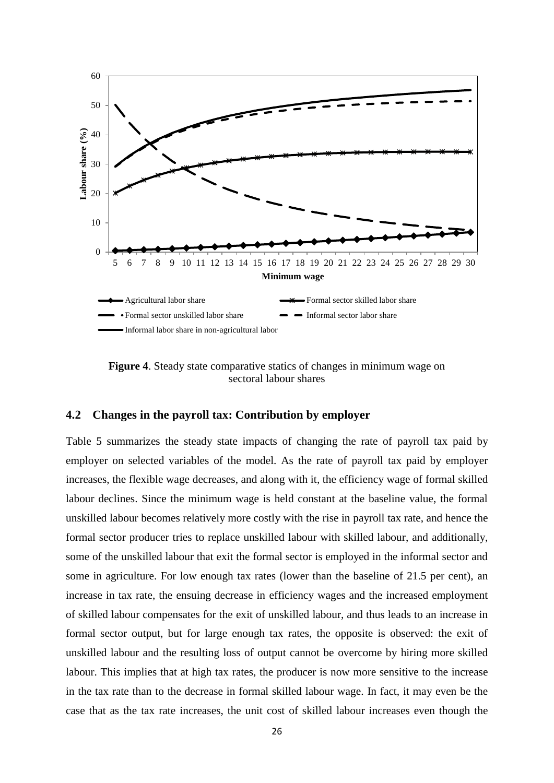

**Figure 4.** Steady state comparative statics of changes in minimum wage on sectoral labour shares

### **4.2 Changes in the payroll tax: Contribution by employer**

Table 5 summarizes the steady state impacts of changing the rate of payroll tax paid by employer on selected variables of the model. As the rate of payroll tax paid by employer increases, the flexible wage decreases, and along with it, the efficiency wage of formal skilled labour declines. Since the minimum wage is held constant at the baseline value, the formal unskilled labour becomes relatively more costly with the rise in payroll tax rate, and hence the formal sector producer tries to replace unskilled labour with skilled labour, and additionally, some of the unskilled labour that exit the formal sector is employed in the informal sector and some in agriculture. For low enough tax rates (lower than the baseline of 21.5 per cent), an increase in tax rate, the ensuing decrease in efficiency wages and the increased employment of skilled labour compensates for the exit of unskilled labour, and thus leads to an increase in formal sector output, but for large enough tax rates, the opposite is observed: the exit of unskilled labour and the resulting loss of output cannot be overcome by hiring more skilled labour. This implies that at high tax rates, the producer is now more sensitive to the increase in the tax rate than to the decrease in formal skilled labour wage. In fact, it may even be the case that as the tax rate increases, the unit cost of skilled labour increases even though the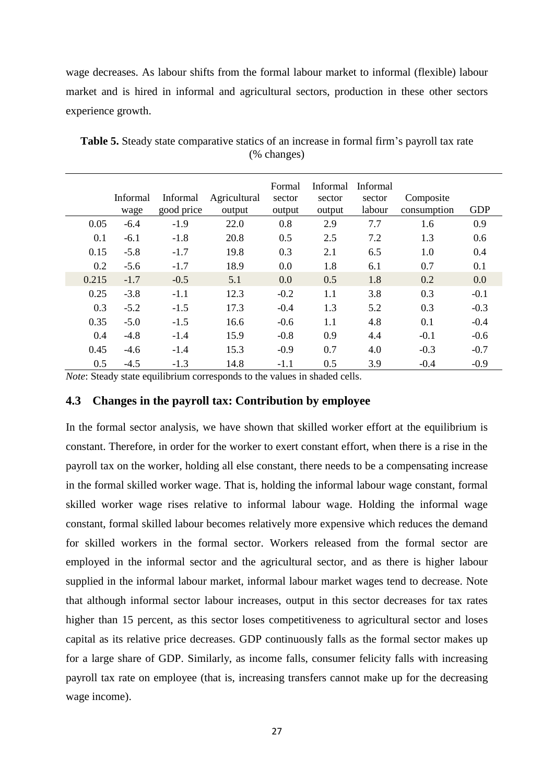wage decreases. As labour shifts from the formal labour market to informal (flexible) labour market and is hired in informal and agricultural sectors, production in these other sectors experience growth.

|       | Informal<br>wage | Informal<br>good price | Agricultural<br>output | Formal<br>sector<br>output | <b>Informal</b><br>sector<br>output | Informal<br>sector<br>labour | Composite<br>consumption | <b>GDP</b> |
|-------|------------------|------------------------|------------------------|----------------------------|-------------------------------------|------------------------------|--------------------------|------------|
| 0.05  | $-6.4$           | $-1.9$                 | 22.0                   | 0.8                        | 2.9                                 | 7.7                          | 1.6                      | 0.9        |
| 0.1   | $-6.1$           | $-1.8$                 | 20.8                   | 0.5                        | 2.5                                 | 7.2                          | 1.3                      | 0.6        |
| 0.15  | $-5.8$           | $-1.7$                 | 19.8                   | 0.3                        | 2.1                                 | 6.5                          | $1.0\,$                  | 0.4        |
| 0.2   | $-5.6$           | $-1.7$                 | 18.9                   | 0.0                        | 1.8                                 | 6.1                          | 0.7                      | 0.1        |
| 0.215 | $-1.7$           | $-0.5$                 | 5.1                    | 0.0                        | 0.5                                 | 1.8                          | 0.2                      | 0.0        |
| 0.25  | $-3.8$           | $-1.1$                 | 12.3                   | $-0.2$                     | 1.1                                 | 3.8                          | 0.3                      | $-0.1$     |
| 0.3   | $-5.2$           | $-1.5$                 | 17.3                   | $-0.4$                     | 1.3                                 | 5.2                          | 0.3                      | $-0.3$     |
| 0.35  | $-5.0$           | $-1.5$                 | 16.6                   | $-0.6$                     | 1.1                                 | 4.8                          | 0.1                      | $-0.4$     |
| 0.4   | $-4.8$           | $-1.4$                 | 15.9                   | $-0.8$                     | 0.9                                 | 4.4                          | $-0.1$                   | $-0.6$     |
| 0.45  | $-4.6$           | $-1.4$                 | 15.3                   | $-0.9$                     | 0.7                                 | 4.0                          | $-0.3$                   | $-0.7$     |
| 0.5   | $-4.5$           | $-1.3$                 | 14.8                   | $-1.1$                     | 0.5                                 | 3.9                          | $-0.4$                   | $-0.9$     |

**Table 5.** Steady state comparative statics of an increase in formal firm's payroll tax rate (% changes)

*Note*: Steady state equilibrium corresponds to the values in shaded cells.

#### **4.3 Changes in the payroll tax: Contribution by employee**

In the formal sector analysis, we have shown that skilled worker effort at the equilibrium is constant. Therefore, in order for the worker to exert constant effort, when there is a rise in the payroll tax on the worker, holding all else constant, there needs to be a compensating increase in the formal skilled worker wage. That is, holding the informal labour wage constant, formal skilled worker wage rises relative to informal labour wage. Holding the informal wage constant, formal skilled labour becomes relatively more expensive which reduces the demand for skilled workers in the formal sector. Workers released from the formal sector are employed in the informal sector and the agricultural sector, and as there is higher labour supplied in the informal labour market, informal labour market wages tend to decrease. Note that although informal sector labour increases, output in this sector decreases for tax rates higher than 15 percent, as this sector loses competitiveness to agricultural sector and loses capital as its relative price decreases. GDP continuously falls as the formal sector makes up for a large share of GDP. Similarly, as income falls, consumer felicity falls with increasing payroll tax rate on employee (that is, increasing transfers cannot make up for the decreasing wage income).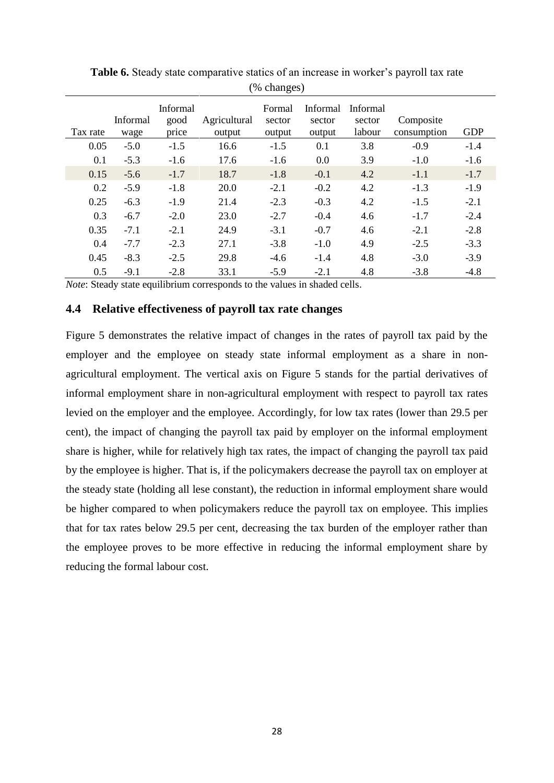| ັ<br>$\overline{\phantom{a}}$ |                  |                           |                        |                            |                                     |                              |                          |            |  |
|-------------------------------|------------------|---------------------------|------------------------|----------------------------|-------------------------------------|------------------------------|--------------------------|------------|--|
| Tax rate                      | Informal<br>wage | Informal<br>good<br>price | Agricultural<br>output | Formal<br>sector<br>output | <b>Informal</b><br>sector<br>output | Informal<br>sector<br>labour | Composite<br>consumption | <b>GDP</b> |  |
| 0.05                          | $-5.0$           | $-1.5$                    | 16.6                   | $-1.5$                     | 0.1                                 | 3.8                          | $-0.9$                   | $-1.4$     |  |
| 0.1                           | $-5.3$           | $-1.6$                    | 17.6                   | $-1.6$                     | 0.0                                 | 3.9                          | $-1.0$                   | $-1.6$     |  |
| 0.15                          | $-5.6$           | $-1.7$                    | 18.7                   | $-1.8$                     | $-0.1$                              | 4.2                          | $-1.1$                   | $-1.7$     |  |
| 0.2                           | $-5.9$           | $-1.8$                    | 20.0                   | $-2.1$                     | $-0.2$                              | 4.2                          | $-1.3$                   | $-1.9$     |  |
| 0.25                          | $-6.3$           | $-1.9$                    | 21.4                   | $-2.3$                     | $-0.3$                              | 4.2                          | $-1.5$                   | $-2.1$     |  |
| 0.3                           | $-6.7$           | $-2.0$                    | 23.0                   | $-2.7$                     | $-0.4$                              | 4.6                          | $-1.7$                   | $-2.4$     |  |
| 0.35                          | $-7.1$           | $-2.1$                    | 24.9                   | $-3.1$                     | $-0.7$                              | 4.6                          | $-2.1$                   | $-2.8$     |  |
| 0.4                           | $-7.7$           | $-2.3$                    | 27.1                   | $-3.8$                     | $-1.0$                              | 4.9                          | $-2.5$                   | $-3.3$     |  |
| 0.45                          | $-8.3$           | $-2.5$                    | 29.8                   | $-4.6$                     | $-1.4$                              | 4.8                          | $-3.0$                   | $-3.9$     |  |
| 0.5                           | $-9.1$           | $-2.8$                    | 33.1                   | $-5.9$                     | $-2.1$                              | 4.8                          | $-3.8$                   | $-4.8$     |  |

**Table 6.** Steady state comparative statics of an increase in worker's payroll tax rate (% changes)

*Note*: Steady state equilibrium corresponds to the values in shaded cells.

#### **4.4 Relative effectiveness of payroll tax rate changes**

Figure 5 demonstrates the relative impact of changes in the rates of payroll tax paid by the employer and the employee on steady state informal employment as a share in nonagricultural employment. The vertical axis on Figure 5 stands for the partial derivatives of informal employment share in non-agricultural employment with respect to payroll tax rates levied on the employer and the employee. Accordingly, for low tax rates (lower than 29.5 per cent), the impact of changing the payroll tax paid by employer on the informal employment share is higher, while for relatively high tax rates, the impact of changing the payroll tax paid by the employee is higher. That is, if the policymakers decrease the payroll tax on employer at the steady state (holding all lese constant), the reduction in informal employment share would be higher compared to when policymakers reduce the payroll tax on employee. This implies that for tax rates below 29.5 per cent, decreasing the tax burden of the employer rather than the employee proves to be more effective in reducing the informal employment share by reducing the formal labour cost.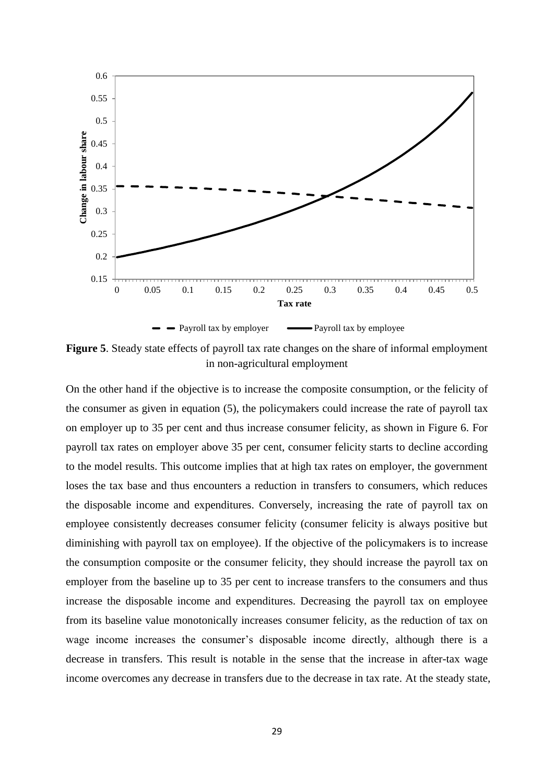

**Figure 5**. Steady state effects of payroll tax rate changes on the share of informal employment in non-agricultural employment

On the other hand if the objective is to increase the composite consumption, or the felicity of the consumer as given in equation (5), the policymakers could increase the rate of payroll tax on employer up to 35 per cent and thus increase consumer felicity, as shown in Figure 6. For payroll tax rates on employer above 35 per cent, consumer felicity starts to decline according to the model results. This outcome implies that at high tax rates on employer, the government loses the tax base and thus encounters a reduction in transfers to consumers, which reduces the disposable income and expenditures. Conversely, increasing the rate of payroll tax on employee consistently decreases consumer felicity (consumer felicity is always positive but diminishing with payroll tax on employee). If the objective of the policymakers is to increase the consumption composite or the consumer felicity, they should increase the payroll tax on employer from the baseline up to 35 per cent to increase transfers to the consumers and thus increase the disposable income and expenditures. Decreasing the payroll tax on employee from its baseline value monotonically increases consumer felicity, as the reduction of tax on wage income increases the consumer's disposable income directly, although there is a decrease in transfers. This result is notable in the sense that the increase in after-tax wage income overcomes any decrease in transfers due to the decrease in tax rate. At the steady state,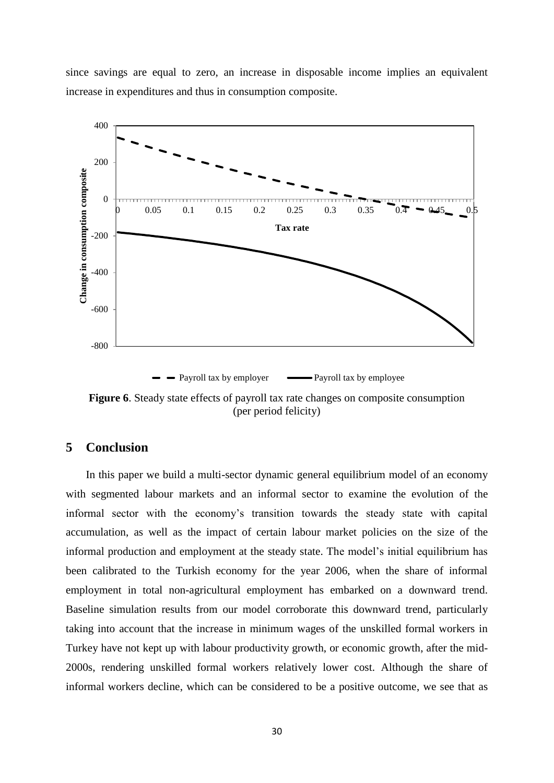since savings are equal to zero, an increase in disposable income implies an equivalent increase in expenditures and thus in consumption composite.



**Figure 6**. Steady state effects of payroll tax rate changes on composite consumption (per period felicity)

## **5 Conclusion**

In this paper we build a multi-sector dynamic general equilibrium model of an economy with segmented labour markets and an informal sector to examine the evolution of the informal sector with the economy's transition towards the steady state with capital accumulation, as well as the impact of certain labour market policies on the size of the informal production and employment at the steady state. The model's initial equilibrium has been calibrated to the Turkish economy for the year 2006, when the share of informal employment in total non-agricultural employment has embarked on a downward trend. Baseline simulation results from our model corroborate this downward trend, particularly taking into account that the increase in minimum wages of the unskilled formal workers in Turkey have not kept up with labour productivity growth, or economic growth, after the mid-2000s, rendering unskilled formal workers relatively lower cost. Although the share of informal workers decline, which can be considered to be a positive outcome, we see that as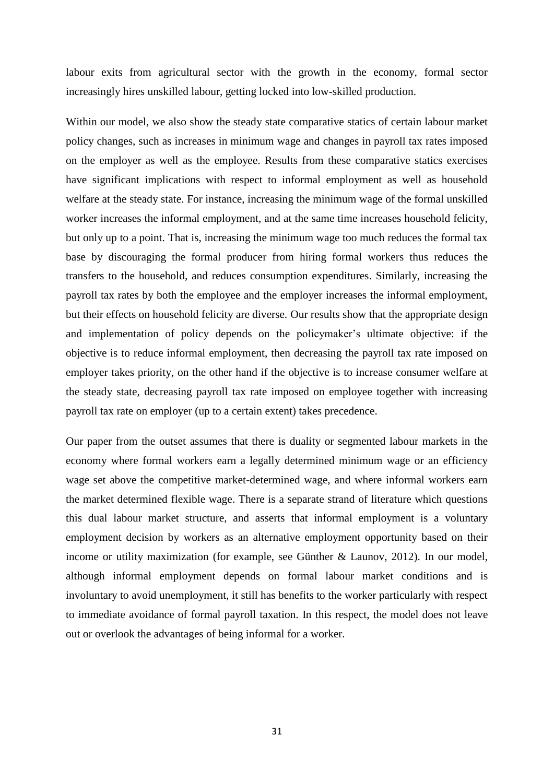labour exits from agricultural sector with the growth in the economy, formal sector increasingly hires unskilled labour, getting locked into low-skilled production.

Within our model, we also show the steady state comparative statics of certain labour market policy changes, such as increases in minimum wage and changes in payroll tax rates imposed on the employer as well as the employee. Results from these comparative statics exercises have significant implications with respect to informal employment as well as household welfare at the steady state. For instance, increasing the minimum wage of the formal unskilled worker increases the informal employment, and at the same time increases household felicity, but only up to a point. That is, increasing the minimum wage too much reduces the formal tax base by discouraging the formal producer from hiring formal workers thus reduces the transfers to the household, and reduces consumption expenditures. Similarly, increasing the payroll tax rates by both the employee and the employer increases the informal employment, but their effects on household felicity are diverse. Our results show that the appropriate design and implementation of policy depends on the policymaker's ultimate objective: if the objective is to reduce informal employment, then decreasing the payroll tax rate imposed on employer takes priority, on the other hand if the objective is to increase consumer welfare at the steady state, decreasing payroll tax rate imposed on employee together with increasing payroll tax rate on employer (up to a certain extent) takes precedence.

Our paper from the outset assumes that there is duality or segmented labour markets in the economy where formal workers earn a legally determined minimum wage or an efficiency wage set above the competitive market-determined wage, and where informal workers earn the market determined flexible wage. There is a separate strand of literature which questions this dual labour market structure, and asserts that informal employment is a voluntary employment decision by workers as an alternative employment opportunity based on their income or utility maximization (for example, see Günther & Launov, 2012). In our model, although informal employment depends on formal labour market conditions and is involuntary to avoid unemployment, it still has benefits to the worker particularly with respect to immediate avoidance of formal payroll taxation. In this respect, the model does not leave out or overlook the advantages of being informal for a worker.

31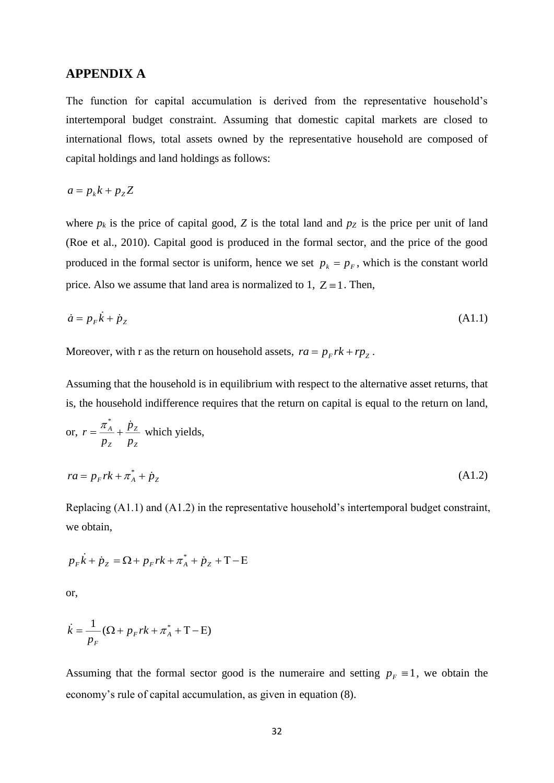### **APPENDIX A**

The function for capital accumulation is derived from the representative household's intertemporal budget constraint. Assuming that domestic capital markets are closed to international flows, total assets owned by the representative household are composed of capital holdings and land holdings as follows:

$$
a = p_k k + p_z Z
$$

where  $p_k$  is the price of capital good, *Z* is the total land and  $p_Z$  is the price per unit of land (Roe et al., 2010). Capital good is produced in the formal sector, and the price of the good produced in the formal sector is uniform, hence we set  $p_k = p_F$ , which is the constant world price. Also we assume that land area is normalized to 1,  $Z = 1$ . Then,

$$
\dot{a} = p_F \dot{k} + \dot{p}_Z \tag{A1.1}
$$

Moreover, with r as the return on household assets,  $ra = p_F rk + rp_z$ .

Assuming that the household is in equilibrium with respect to the alternative asset returns, that is, the household indifference requires that the return on capital is equal to the return on land,

or, 
$$
r = \frac{\pi_A^*}{p_Z} + \frac{\dot{p}_Z}{p_Z}
$$
 which yields,  
\n
$$
ra = p_F r k + \pi_A^* + \dot{p}_Z
$$
\n(A1.2)

Replacing (A1.1) and (A1.2) in the representative household's intertemporal budget constraint, we obtain,

$$
p_{F}\dot{k} + \dot{p}_{Z} = \Omega + p_{F}rk + \pi_{A}^{*} + \dot{p}_{Z} + T - E
$$

or,

$$
\dot{k} = \frac{1}{p_F} (\Omega + p_F r k + \pi_A^* + T - E)
$$

Assuming that the formal sector good is the numeraire and setting  $p_F \equiv 1$ , we obtain the economy's rule of capital accumulation, as given in equation (8).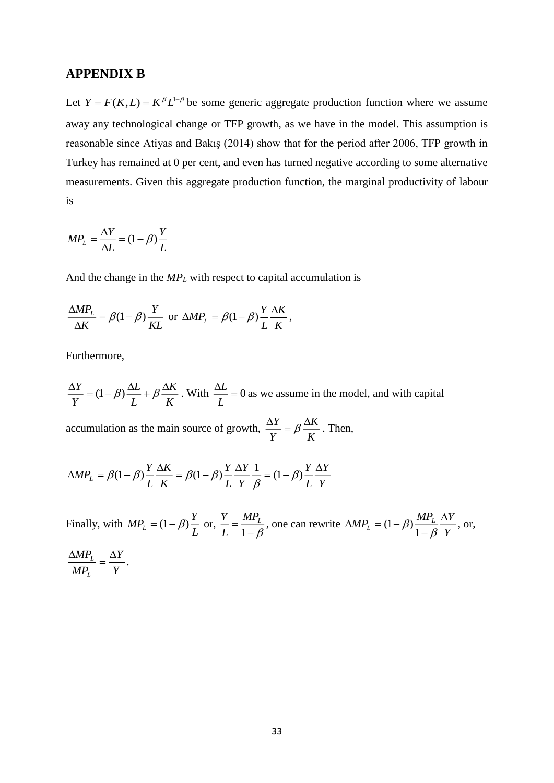#### **APPENDIX B**

Let  $Y = F(K, L) = K^{\beta} L^{1-\beta}$  be some generic aggregate production function where we assume away any technological change or TFP growth, as we have in the model. This assumption is reasonable since Atiyas and Bakış (2014) show that for the period after 2006, TFP growth in Turkey has remained at 0 per cent, and even has turned negative according to some alternative measurements. Given this aggregate production function, the marginal productivity of labour is

$$
MP_L = \frac{\Delta Y}{\Delta L} = (1 - \beta) \frac{Y}{L}
$$

And the change in the *MP<sup>L</sup>* with respect to capital accumulation is

$$
\frac{\Delta MP_L}{\Delta K} = \beta (1 - \beta) \frac{Y}{KL} \text{ or } \Delta MP_L = \beta (1 - \beta) \frac{Y}{L} \frac{\Delta K}{K},
$$

Furthermore,

*K K L L Y*  $\frac{\Delta Y}{Y} = (1 - \beta) \frac{\Delta L}{Y} + \beta \frac{\Delta K}{Y}$ . With  $\frac{\Delta L}{Y} = 0$ *L*  $\frac{L}{L}$  = 0 as we assume in the model, and with capital

accumulation as the main source of growth,  $\frac{dx}{Y} = \beta \frac{dx}{K}$ *K Y*  $\frac{Y}{\rho} = \beta \frac{\Delta}{\rho}$  $\frac{\Delta Y}{\Delta t} = \beta \frac{\Delta K}{\Delta t}$ . Then,

$$
\Delta MP_L = \beta (1 - \beta) \frac{Y}{L} \frac{\Delta K}{K} = \beta (1 - \beta) \frac{Y}{L} \frac{\Delta Y}{Y} \frac{1}{\beta} = (1 - \beta) \frac{Y}{L} \frac{\Delta Y}{Y}
$$

Finally, with  $MP_L = (1 - \beta) \frac{Y}{L}$  or,  $\frac{Y}{L} = \frac{MP_L}{1 - \beta}$  $MP_{L}$ *L*  $\frac{Y}{I} = \frac{MP_L}{P}$ , one can rewrite *Y*  $MP_{L} = (1 - \beta) \frac{MP_{L}}{1 - \beta} \frac{\Delta Y}{Y}$  $\Delta$  $\overline{a}$  $\triangle MP_{L} = (1 \beta$  $\beta)^{\frac{1}{2}}$  $(1-\beta)\frac{m_{L}}{1-\beta}$  or, *Y Y MP MP L*  $\frac{\Delta MP_L}{\Delta P} = \frac{\Delta}{\Delta P}$ .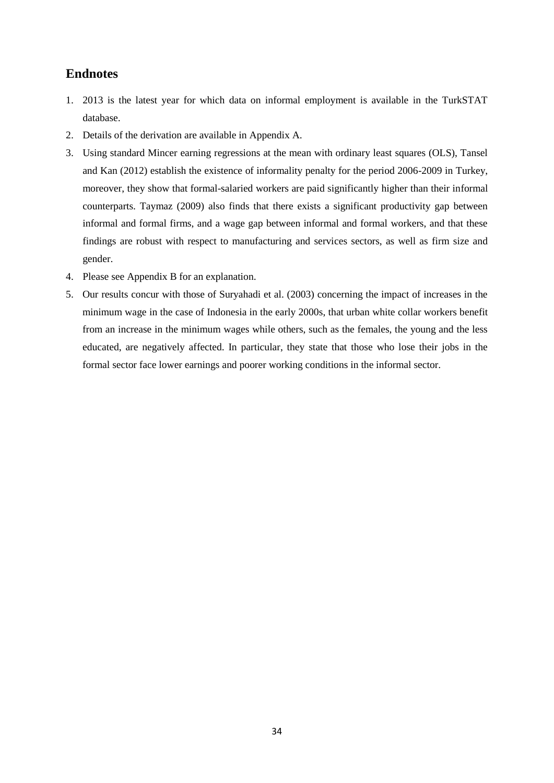## **Endnotes**

- 1. 2013 is the latest year for which data on informal employment is available in the TurkSTAT database.
- 2. Details of the derivation are available in Appendix A.
- 3. Using standard Mincer earning regressions at the mean with ordinary least squares (OLS), Tansel and Kan (2012) establish the existence of informality penalty for the period 2006-2009 in Turkey, moreover, they show that formal-salaried workers are paid significantly higher than their informal counterparts. Taymaz (2009) also finds that there exists a significant productivity gap between informal and formal firms, and a wage gap between informal and formal workers, and that these findings are robust with respect to manufacturing and services sectors, as well as firm size and gender.
- 4. Please see Appendix B for an explanation.
- 5. Our results concur with those of Suryahadi et al. (2003) concerning the impact of increases in the minimum wage in the case of Indonesia in the early 2000s, that urban white collar workers benefit from an increase in the minimum wages while others, such as the females, the young and the less educated, are negatively affected. In particular, they state that those who lose their jobs in the formal sector face lower earnings and poorer working conditions in the informal sector.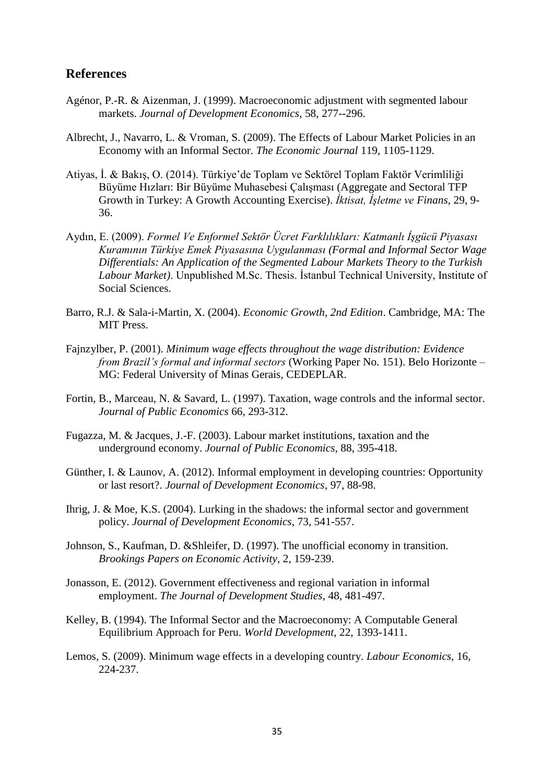### **References**

- Agénor, P.-R. & Aizenman, J. (1999). Macroeconomic adjustment with segmented labour markets. *Journal of Development Economics*, 58, 277--296.
- Albrecht, J., Navarro, L. & Vroman, S. (2009). The Effects of Labour Market Policies in an Economy with an Informal Sector. *The Economic Journal* 119, 1105-1129.
- Atiyas, İ. & Bakış, O. (2014). Türkiye'de Toplam ve Sektörel Toplam Faktör Verimliliği Büyüme Hızları: Bir Büyüme Muhasebesi Çalışması (Aggregate and Sectoral TFP Growth in Turkey: A Growth Accounting Exercise). *İktisat, İşletme ve Finans*, 29, 9- 36.
- Aydın, E. (2009). *Formel Ve Enformel Sektör Ücret Farklılıkları: Katmanlı İşgücü Piyasası Kuramının Türkiye Emek Piyasasına Uygulanması (Formal and Informal Sector Wage Differentials: An Application of the Segmented Labour Markets Theory to the Turkish Labour Market)*. Unpublished M.Sc. Thesis. İstanbul Technical University, Institute of Social Sciences.
- Barro, R.J. & Sala-i-Martin, X. (2004). *Economic Growth, 2nd Edition*. Cambridge, MA: The MIT Press.
- Fajnzylber, P. (2001). *Minimum wage effects throughout the wage distribution: Evidence from Brazil's formal and informal sectors* (Working Paper No. 151). Belo Horizonte – MG: Federal University of Minas Gerais, CEDEPLAR.
- Fortin, B., Marceau, N. & Savard, L. (1997). Taxation, wage controls and the informal sector. *Journal of Public Economics* 66, 293-312.
- Fugazza, M. & Jacques, J.-F. (2003). Labour market institutions, taxation and the underground economy. *Journal of Public Economics,* 88, 395-418.
- Günther, I. & Launov, A. (2012). Informal employment in developing countries: Opportunity or last resort?. *Journal of Development Economics*, 97, 88-98.
- Ihrig, J. & Moe, K.S. (2004). Lurking in the shadows: the informal sector and government policy. *Journal of Development Economics*, 73, 541-557.
- Johnson, S., Kaufman, D. &Shleifer, D. (1997). The unofficial economy in transition. *Brookings Papers on Economic Activity,* 2, 159-239.
- Jonasson, E. (2012). Government effectiveness and regional variation in informal employment. *The Journal of Development Studies*, 48, 481-497.
- Kelley, B. (1994). The Informal Sector and the Macroeconomy: A Computable General Equilibrium Approach for Peru. *World Development*, 22, 1393-1411.
- Lemos, S. (2009). Minimum wage effects in a developing country. *Labour Economics,* 16, 224-237.